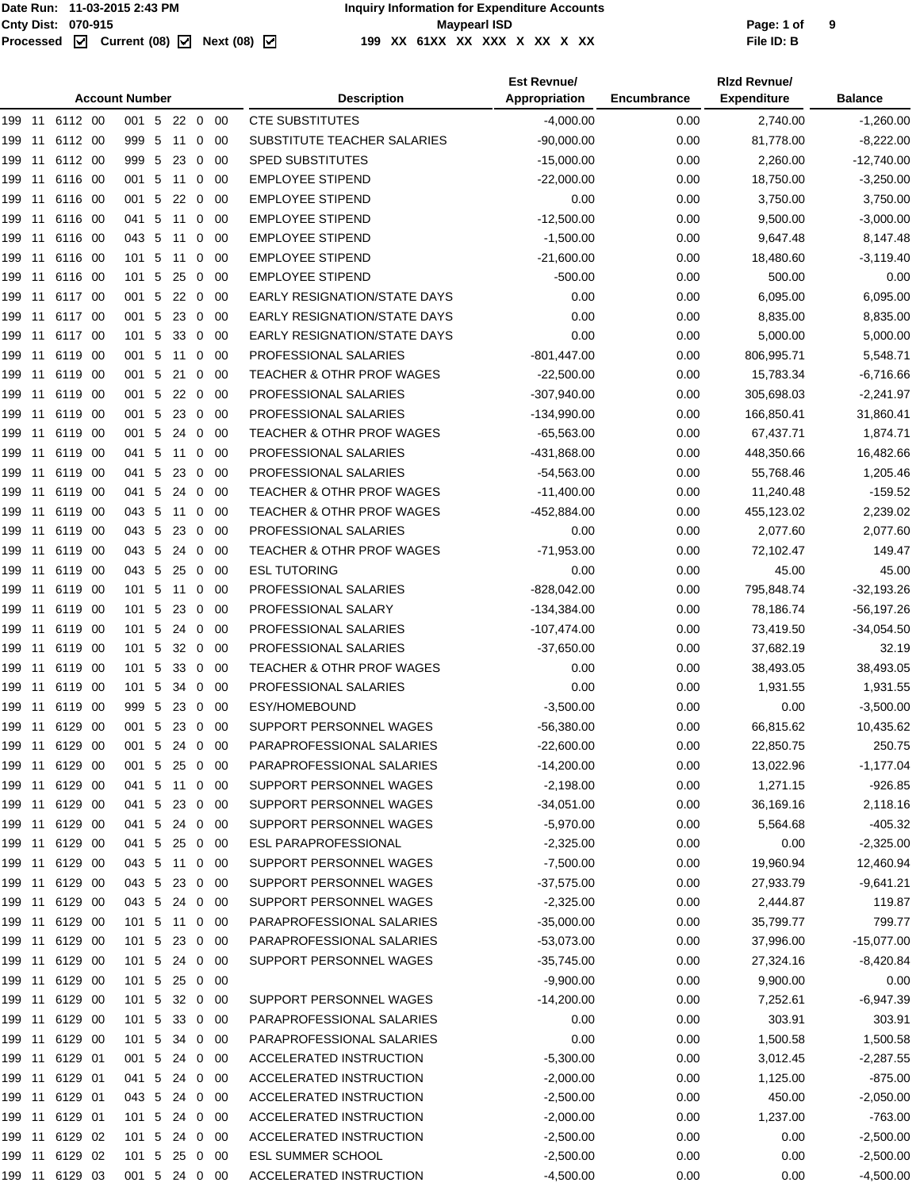|        |        |                | <b>Account Number</b> |   |              |                |             | <b>Description</b>                   | <b>Est Revnue/</b><br>Appropriation | Encumbrance | <b>Rizd Revnue/</b><br><b>Expenditure</b> | <b>Balance</b> |
|--------|--------|----------------|-----------------------|---|--------------|----------------|-------------|--------------------------------------|-------------------------------------|-------------|-------------------------------------------|----------------|
|        |        | 199 11 6112 00 | 001 5 22 0 00         |   |              |                |             | <b>CTE SUBSTITUTES</b>               | $-4,000.00$                         | 0.00        | 2,740.00                                  | $-1,260.00$    |
| 199    | 11     | 6112 00        | 999 5 11              |   |              | $\overline{0}$ | - 00        | SUBSTITUTE TEACHER SALARIES          | $-90,000.00$                        | 0.00        | 81,778.00                                 | $-8,222.00$    |
| 199    | 11     | 6112 00        | 999 5                 |   | 23           | 0              | -00         | <b>SPED SUBSTITUTES</b>              | $-15,000.00$                        | 0.00        | 2,260.00                                  | $-12,740.00$   |
| 199    | 11     | 6116 00        | 001 5                 |   | 11           | 0              | -00         | <b>EMPLOYEE STIPEND</b>              | $-22,000.00$                        | 0.00        | 18,750.00                                 | $-3,250.00$    |
| 199    | 11     | 6116 00        | 001 5                 |   | $22\quad0$   |                | -00         | <b>EMPLOYEE STIPEND</b>              | 0.00                                | 0.00        | 3,750.00                                  | 3,750.00       |
| 199    | 11     | 6116 00        | 041 5                 |   | 11           | 0              | 00          | <b>EMPLOYEE STIPEND</b>              | $-12,500.00$                        | 0.00        | 9,500.00                                  | $-3,000.00$    |
| 199    | 11     | 6116 00        | 043 5                 |   | 11           | 0              | -00         | <b>EMPLOYEE STIPEND</b>              | $-1,500.00$                         | 0.00        | 9,647.48                                  | 8,147.48       |
| 199    | 11     | 6116 00        | $101 \quad 5$         |   | 11           | $\mathbf{0}$   | - 00        | <b>EMPLOYEE STIPEND</b>              | $-21,600.00$                        | 0.00        | 18,480.60                                 | $-3,119.40$    |
| 199    | 11     | 6116 00        | 101                   | 5 | 25           | 0              | 00          | <b>EMPLOYEE STIPEND</b>              | $-500.00$                           | 0.00        | 500.00                                    | 0.00           |
| 199    | -11    | 6117 00        | 001 5                 |   | 22           | $\overline{0}$ | -00         | <b>EARLY RESIGNATION/STATE DAYS</b>  | 0.00                                | 0.00        | 6,095.00                                  | 6,095.00       |
| 199    | 11     | 6117 00        | 001 5                 |   | 23           | $\mathbf 0$    | - 00        | <b>EARLY RESIGNATION/STATE DAYS</b>  | 0.00                                | 0.00        | 8,835.00                                  | 8,835.00       |
| 199    | 11     | 6117 00        | 101 5                 |   | 33           | $\mathbf 0$    | 00          | <b>EARLY RESIGNATION/STATE DAYS</b>  | 0.00                                | 0.00        | 5,000.00                                  | 5,000.00       |
| 199    | -11    | 6119 00        | 001 5                 |   | 11           | $\mathbf 0$    | -00         | PROFESSIONAL SALARIES                | $-801,447.00$                       | 0.00        | 806,995.71                                | 5,548.71       |
| 199    | 11     | 6119 00        | 001 5 21              |   |              | $\mathbf{0}$   | - 00        | <b>TEACHER &amp; OTHR PROF WAGES</b> | $-22,500.00$                        | 0.00        | 15,783.34                                 | $-6,716.66$    |
| 199    | 11     | 6119 00        | 001 5                 |   | 22           | 0              | 00          | PROFESSIONAL SALARIES                | $-307,940.00$                       | 0.00        | 305,698.03                                | $-2,241.97$    |
| 199    | 11     | 6119 00        | 001 5                 |   | 23           | 0              | -00         | PROFESSIONAL SALARIES                | $-134,990.00$                       | 0.00        | 166,850.41                                | 31,860.41      |
| 199    | 11     | 6119 00        | 001                   | 5 | 24           | $\mathbf 0$    | - 00        | <b>TEACHER &amp; OTHR PROF WAGES</b> | $-65,563.00$                        | 0.00        | 67,437.71                                 | 1,874.71       |
| 199    | 11     | 6119 00        | 041                   | 5 | 11           | 0              | 00          | PROFESSIONAL SALARIES                | -431,868.00                         | 0.00        | 448,350.66                                | 16,482.66      |
| 199    | 11     | 6119 00        | 041 5                 |   | 23           | $\mathbf 0$    | -00         | PROFESSIONAL SALARIES                | $-54,563.00$                        | 0.00        | 55,768.46                                 | 1,205.46       |
| 199    | 11     | 6119 00        | 041                   | 5 | 24           | $\mathbf 0$    | - 00        | TEACHER & OTHR PROF WAGES            | $-11,400.00$                        | 0.00        | 11,240.48                                 | $-159.52$      |
| 199    | 11     | 6119 00        | 043 5                 |   | 11           | 0              | 00          | TEACHER & OTHR PROF WAGES            | -452,884.00                         | 0.00        | 455,123.02                                | 2,239.02       |
| 199    | -11    | 6119 00        | 043 5                 |   | 23           | 0              | -00         | PROFESSIONAL SALARIES                | 0.00                                | 0.00        | 2,077.60                                  | 2,077.60       |
| 199    | 11     | 6119 00        | 043 5                 |   | 24           | $\mathbf{0}$   | - 00        | <b>TEACHER &amp; OTHR PROF WAGES</b> | $-71,953.00$                        | 0.00        | 72,102.47                                 | 149.47         |
| 199    | 11     | 6119 00        | 043 5                 |   | 25           | $\mathbf 0$    | 00          | <b>ESL TUTORING</b>                  | 0.00                                | 0.00        | 45.00                                     | 45.00          |
| 199 11 |        | 6119 00        | $101 \quad 5$         |   | 11           | $\mathbf 0$    | -00         | PROFESSIONAL SALARIES                | $-828,042.00$                       | 0.00        | 795,848.74                                | $-32,193.26$   |
| 199    | 11     | 6119 00        | 101 5                 |   | $23 \quad 0$ |                | - 00        | PROFESSIONAL SALARY                  | $-134,384.00$                       | 0.00        | 78,186.74                                 | $-56, 197.26$  |
| 199    | 11     | 6119 00        | 101 5                 |   | 24           | 0              | 00          | PROFESSIONAL SALARIES                | $-107,474.00$                       | 0.00        | 73,419.50                                 | $-34,054.50$   |
| 199    | -11    | 6119 00        | $101 \quad 5$         |   | 32           | $\overline{0}$ | -00         | PROFESSIONAL SALARIES                | $-37,650.00$                        | 0.00        | 37,682.19                                 | 32.19          |
| 199    | 11     | 6119 00        | 101 5                 |   | 33           | $\mathbf 0$    | - 00        | <b>TEACHER &amp; OTHR PROF WAGES</b> | 0.00                                | 0.00        | 38,493.05                                 | 38,493.05      |
| 199    | 11     | 6119 00        | 101                   | 5 | 34           | $\mathbf 0$    | 00          | PROFESSIONAL SALARIES                | 0.00                                | 0.00        | 1,931.55                                  | 1,931.55       |
| 199 11 |        | 6119 00        | 999 5                 |   | 23           | $\mathbf 0$    | -00         | ESY/HOMEBOUND                        | $-3,500.00$                         | 0.00        | 0.00                                      | $-3,500.00$    |
|        |        |                | 001 5                 |   | 23 0 00      |                |             | SUPPORT PERSONNEL WAGES              | $-56,380.00$                        | 0.00        | 66,815.62                                 | 10,435.62      |
|        |        | 199 11 6129 00 | 001 5 24 0 00         |   |              |                |             | PARAPROFESSIONAL SALARIES            | $-22,600.00$                        | 0.00        | 22,850.75                                 | 250.75         |
|        |        | 199 11 6129 00 | 001 5                 |   | 25 0 00      |                |             | PARAPROFESSIONAL SALARIES            | $-14,200.00$                        | 0.00        | 13,022.96                                 | $-1,177.04$    |
|        |        | 199 11 6129 00 | 041 5 11 0 00         |   |              |                |             | SUPPORT PERSONNEL WAGES              | $-2,198.00$                         | 0.00        | 1,271.15                                  | $-926.85$      |
|        |        | 199 11 6129 00 | 041 5                 |   | 23 0 00      |                |             | SUPPORT PERSONNEL WAGES              | $-34,051.00$                        | 0.00        | 36,169.16                                 | 2,118.16       |
|        |        | 199 11 6129 00 | 041 5 24 0 00         |   |              |                |             | SUPPORT PERSONNEL WAGES              | $-5,970.00$                         | 0.00        | 5,564.68                                  | $-405.32$      |
|        |        | 199 11 6129 00 | 041 5 25 0 00         |   |              |                |             | <b>ESL PARAPROFESSIONAL</b>          | $-2,325.00$                         | 0.00        | 0.00                                      | $-2,325.00$    |
|        | 199 11 | 6129 00        | 043 5                 |   | 11           | $\mathbf 0$    | - 00        | SUPPORT PERSONNEL WAGES              | $-7,500.00$                         | 0.00        | 19,960.94                                 | 12,460.94      |
|        |        | 199 11 6129 00 | 043 5                 |   |              |                | 23 0 00     | SUPPORT PERSONNEL WAGES              | -37,575.00                          | 0.00        | 27,933.79                                 | $-9,641.21$    |
|        |        | 199 11 6129 00 | 043 5 24 0 00         |   |              |                |             | SUPPORT PERSONNEL WAGES              | $-2,325.00$                         | 0.00        | 2,444.87                                  | 119.87         |
| 199 11 |        | 6129 00        | $101 \t 5$            |   | 11           |                | $0\quad 00$ | PARAPROFESSIONAL SALARIES            | $-35,000.00$                        | 0.00        | 35,799.77                                 | 799.77         |
|        |        | 199 11 6129 00 | 101 5                 |   | 23 0 00      |                |             | PARAPROFESSIONAL SALARIES            | -53,073.00                          | 0.00        | 37,996.00                                 | $-15,077.00$   |
|        |        | 199 11 6129 00 | 101 5 24 0 00         |   |              |                |             | SUPPORT PERSONNEL WAGES              | -35,745.00                          | 0.00        | 27,324.16                                 | $-8,420.84$    |
| 199 11 |        | 6129 00        | 101 5 25              |   |              | $\overline{0}$ | -00         |                                      | $-9,900.00$                         | 0.00        | 9,900.00                                  | 0.00           |
|        | 199 11 | 6129 00        | 101 5                 |   |              |                | 32 0 00     | SUPPORT PERSONNEL WAGES              | $-14,200.00$                        | 0.00        | 7,252.61                                  | $-6,947.39$    |
|        |        | 199 11 6129 00 | 101 5                 |   |              |                | 33 0 00     | PARAPROFESSIONAL SALARIES            | 0.00                                | 0.00        | 303.91                                    | 303.91         |
| 199 11 |        | 6129 00        | 101 5                 |   | 34 0 00      |                |             | PARAPROFESSIONAL SALARIES            | 0.00                                | 0.00        | 1,500.58                                  | 1,500.58       |
|        |        | 199 11 6129 01 | 001 5                 |   |              |                | 24 0 00     | ACCELERATED INSTRUCTION              | $-5,300.00$                         | 0.00        | 3,012.45                                  | $-2,287.55$    |
|        |        | 199 11 6129 01 | 041 5 24 0 00         |   |              |                |             | ACCELERATED INSTRUCTION              | $-2,000.00$                         | 0.00        | 1,125.00                                  | $-875.00$      |
|        |        | 199 11 6129 01 | 043 5 24 0 00         |   |              |                |             | ACCELERATED INSTRUCTION              | $-2,500.00$                         | 0.00        | 450.00                                    | $-2,050.00$    |
|        |        |                | 101 5 24 0 00         |   |              |                |             | ACCELERATED INSTRUCTION              | $-2,000.00$                         | 0.00        | 1,237.00                                  | $-763.00$      |
|        |        | 199 11 6129 02 | 101 5 24 0 00         |   |              |                |             | ACCELERATED INSTRUCTION              | $-2,500.00$                         | 0.00        | 0.00                                      | $-2,500.00$    |
|        | 199 11 | 6129 02        | 101 5                 |   | 25           |                | 0 00        | <b>ESL SUMMER SCHOOL</b>             | $-2,500.00$                         | 0.00        | 0.00                                      | $-2,500.00$    |
|        |        | 199 11 6129 03 | 001 5 24 0 00         |   |              |                |             | ACCELERATED INSTRUCTION              | $-4,500.00$                         | 0.00        | 0.00                                      | $-4,500.00$    |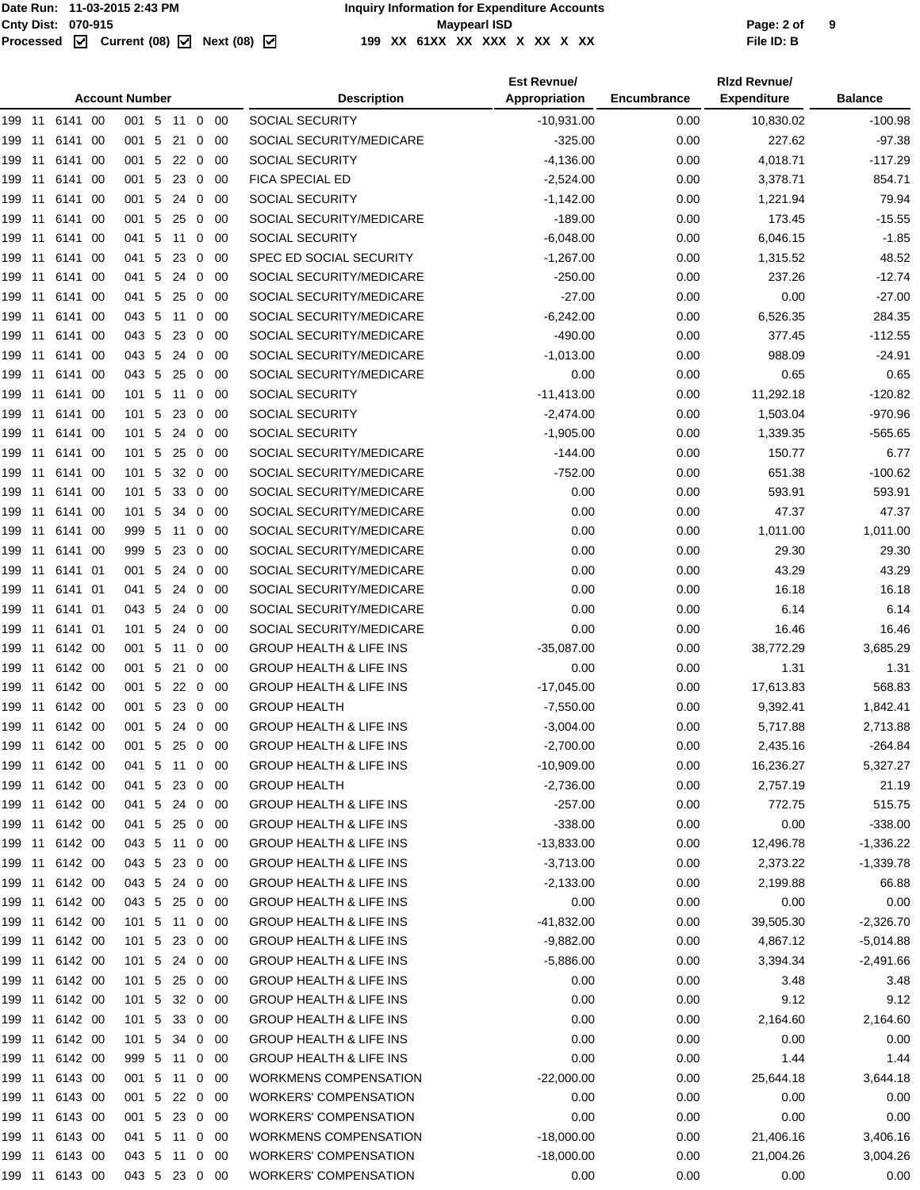#### Cnty Dist: 070-915<br> **Processed Maxmush Contries Controller Maymeat ISD**<br>
Processed **M** Current (08) M Next (08) M 199 XX 61XX XX XX X XX X XX X XX **199 XX 61XX XX XXX X XX X XX File ID: B**

| <b>Account Number</b> |    |                |      |               |  |                 |                         |             | <b>Description</b>                 | <b>Est Revnue/</b><br>Appropriation | <b>Encumbrance</b> | <b>Rizd Revnue/</b><br><b>Expenditure</b> | <b>Balance</b> |
|-----------------------|----|----------------|------|---------------|--|-----------------|-------------------------|-------------|------------------------------------|-------------------------------------|--------------------|-------------------------------------------|----------------|
|                       |    | 199 11 6141 00 |      | 001 5 11 0 00 |  |                 |                         |             | <b>SOCIAL SECURITY</b>             | $-10,931.00$                        | 0.00               | 10,830.02                                 | $-100.98$      |
| 199 11                |    | 6141           | -00  | 001 5         |  | 21 0            |                         | -00         | SOCIAL SECURITY/MEDICARE           | $-325.00$                           | 0.00               | 227.62                                    | $-97.38$       |
| 199 11                |    | 6141           | -00  | 001 5         |  | 22              | $\overline{0}$          | -00         | SOCIAL SECURITY                    | $-4,136.00$                         | 0.00               | 4,018.71                                  | $-117.29$      |
| 199 11                |    | 6141 00        |      | 001 5         |  | $23 \quad 0$    |                         | -00         | FICA SPECIAL ED                    | $-2,524.00$                         | 0.00               | 3,378.71                                  | 854.71         |
| 199 11                |    | 6141 00        |      | 001 5         |  | 24              | $\mathbf 0$             | -00         | SOCIAL SECURITY                    | $-1,142.00$                         | 0.00               | 1,221.94                                  | 79.94          |
| 199 11                |    | 6141           | -00  | 001 5         |  | 25              | $\mathbf 0$             | -00         | SOCIAL SECURITY/MEDICARE           | $-189.00$                           | 0.00               | 173.45                                    | $-15.55$       |
| 199                   | 11 | 6141           | 00   | 041 5         |  | 11              | 0                       | 00          | SOCIAL SECURITY                    | $-6,048.00$                         | 0.00               | 6,046.15                                  | $-1.85$        |
| 199 11                |    | 6141           | -00  | 041 5         |  | 23              | 0                       | -00         | SPEC ED SOCIAL SECURITY            | $-1,267.00$                         | 0.00               | 1,315.52                                  | 48.52          |
| 199 11                |    | 6141           | - 00 | 041 5         |  | 24              | $\overline{0}$          | -00         | SOCIAL SECURITY/MEDICARE           | $-250.00$                           | 0.00               | 237.26                                    | $-12.74$       |
| 199 11                |    | 6141 00        |      | 041 5         |  | $25\quad0$      |                         | -00         | SOCIAL SECURITY/MEDICARE           | $-27.00$                            | 0.00               | 0.00                                      | $-27.00$       |
| 199 11                |    | 6141 00        |      | 043 5 11 0    |  |                 |                         | - 00        | SOCIAL SECURITY/MEDICARE           | $-6,242.00$                         | 0.00               | 6,526.35                                  | 284.35         |
| 199 11                |    | 6141           | -00  | 043 5         |  | 23 0            |                         | -00         | SOCIAL SECURITY/MEDICARE           | $-490.00$                           | 0.00               | 377.45                                    | $-112.55$      |
| 199 11                |    | 6141           | 00   | 043 5         |  | 24              | $\mathbf 0$             | -00         | SOCIAL SECURITY/MEDICARE           | $-1,013.00$                         | 0.00               | 988.09                                    | $-24.91$       |
| 199 11                |    | 6141           | -00  | 043 5         |  | 25              | $\overline{\mathbf{0}}$ | -00         | SOCIAL SECURITY/MEDICARE           | 0.00                                | 0.00               | 0.65                                      | 0.65           |
| 199 11                |    | 6141           | -00  | 101 5         |  | 11              | 0                       | -00         | SOCIAL SECURITY                    | $-11,413.00$                        | 0.00               | 11,292.18                                 | $-120.82$      |
| 199 11                |    | 6141 00        |      | 101 5         |  | $23\quad0$      |                         | -00         | SOCIAL SECURITY                    | $-2,474.00$                         | 0.00               | 1,503.04                                  | $-970.96$      |
| 199 11                |    | 6141 00        |      | 101 5         |  | 24              | $\mathbf 0$             | -00         | SOCIAL SECURITY                    | $-1,905.00$                         | 0.00               | 1,339.35                                  | $-565.65$      |
| 199 11                |    | 6141           | -00  | 101 5         |  | 25              | $\overline{0}$          | -00         | SOCIAL SECURITY/MEDICARE           | $-144.00$                           | 0.00               | 150.77                                    | 6.77           |
| 199                   | 11 | 6141           | -00  | 101 5         |  | 32              | $\mathbf 0$             | 00          | SOCIAL SECURITY/MEDICARE           | $-752.00$                           | 0.00               | 651.38                                    | $-100.62$      |
| 199 11                |    | 6141           | -00  | 101 5         |  | 33              | $\overline{0}$          | -00         | SOCIAL SECURITY/MEDICARE           | 0.00                                | 0.00               | 593.91                                    | 593.91         |
| 199 11                |    | 6141           | -00  | 101 5         |  | 34              | $\mathbf 0$             | -00         | SOCIAL SECURITY/MEDICARE           | 0.00                                | 0.00               | 47.37                                     | 47.37          |
| 199 11                |    | 6141 00        |      | 999 5         |  | 11              | $\mathbf 0$             | 00          | SOCIAL SECURITY/MEDICARE           | 0.00                                | 0.00               | 1,011.00                                  | 1,011.00       |
| 199 11                |    | 6141 00        |      | 999 5         |  | 23              | $\mathbf 0$             | -00         | SOCIAL SECURITY/MEDICARE           | 0.00                                | 0.00               | 29.30                                     | 29.30          |
| 199 11                |    | 6141 01        |      | 001 5 24      |  |                 | $\mathbf{0}$            | -00         | SOCIAL SECURITY/MEDICARE           | 0.00                                | 0.00               | 43.29                                     | 43.29          |
| 199 11                |    | 6141 01        |      | 041 5         |  | 24              | $\mathbf 0$             | 00          | SOCIAL SECURITY/MEDICARE           | 0.00                                | 0.00               | 16.18                                     | 16.18          |
| 199 11                |    | 6141 01        |      | 043 5         |  | 24              | $\overline{0}$          | -00         | SOCIAL SECURITY/MEDICARE           | 0.00                                | 0.00               | 6.14                                      | 6.14           |
| 199 11                |    | 6141 01        |      | 101 5         |  | 24              | $\overline{0}$          | -00         | SOCIAL SECURITY/MEDICARE           | 0.00                                | 0.00               | 16.46                                     | 16.46          |
| 199 11                |    | 6142 00        |      | 001 5         |  | 11 <sub>0</sub> |                         | - 00        | <b>GROUP HEALTH &amp; LIFE INS</b> | $-35,087.00$                        | 0.00               | 38,772.29                                 | 3,685.29       |
| 199 11                |    | 6142 00        |      | 001 5         |  | 21 0            |                         | - 00        | <b>GROUP HEALTH &amp; LIFE INS</b> | 0.00                                | 0.00               | 1.31                                      | 1.31           |
| 199 11                |    | 6142 00        |      | 001 5         |  | 22              | $\overline{0}$          | -00         | <b>GROUP HEALTH &amp; LIFE INS</b> | $-17,045.00$                        | 0.00               | 17,613.83                                 | 568.83         |
| 199 11                |    | 6142 00        |      | 001 5         |  | 23 0            |                         | -00         | <b>GROUP HEALTH</b>                | $-7,550.00$                         | 0.00               | 9,392.41                                  | 1,842.41       |
|                       |    | 199 11 6142 00 |      | 001 5 24 0 00 |  |                 |                         |             | <b>GROUP HEALTH &amp; LIFE INS</b> | $-3,004.00$                         | 0.00               | 5,717.88                                  | 2,713.88       |
| 199 11                |    | 6142 00        |      | 001 5         |  | 25 0 00         |                         |             | <b>GROUP HEALTH &amp; LIFE INS</b> | $-2,700.00$                         | 0.00               | 2,435.16                                  | $-264.84$      |
| 199 11                |    | 6142 00        |      | 041 5 11 0 00 |  |                 |                         |             | <b>GROUP HEALTH &amp; LIFE INS</b> | $-10,909.00$                        | 0.00               | 16,236.27                                 | 5,327.27       |
| 199 11                |    | 6142 00        |      | 041 5 23 0 00 |  |                 |                         |             | <b>GROUP HEALTH</b>                | $-2,736.00$                         | 0.00               | 2,757.19                                  | 21.19          |
| 199 11                |    | 6142 00        |      | 041 5 24 0 00 |  |                 |                         |             | <b>GROUP HEALTH &amp; LIFE INS</b> | $-257.00$                           | 0.00               | 772.75                                    | 515.75         |
| 199 11                |    | 6142 00        |      | 041 5         |  | 25 0 00         |                         |             | <b>GROUP HEALTH &amp; LIFE INS</b> | $-338.00$                           | 0.00               | 0.00                                      | $-338.00$      |
| 199 11                |    | 6142 00        |      | 043 5 11 0 00 |  |                 |                         |             | <b>GROUP HEALTH &amp; LIFE INS</b> | $-13,833.00$                        | 0.00               | 12,496.78                                 | $-1,336.22$    |
| 199 11                |    | 6142 00        |      | 043 5 23 0 00 |  |                 |                         |             | <b>GROUP HEALTH &amp; LIFE INS</b> | $-3,713.00$                         | 0.00               | 2,373.22                                  | $-1,339.78$    |
| 199 11                |    | 6142 00        |      | 043 5         |  | 24 0 00         |                         |             | <b>GROUP HEALTH &amp; LIFE INS</b> | $-2,133.00$                         | 0.00               | 2,199.88                                  | 66.88          |
|                       |    | 199 11 6142 00 |      | 043 5 25 0 00 |  |                 |                         |             | <b>GROUP HEALTH &amp; LIFE INS</b> | 0.00                                | 0.00               | 0.00                                      | 0.00           |
| 199 11                |    | 6142 00        |      | 101 5 11 0 00 |  |                 |                         |             | <b>GROUP HEALTH &amp; LIFE INS</b> | $-41,832.00$                        | 0.00               | 39,505.30                                 | $-2,326.70$    |
| 199 11                |    | 6142 00        |      | 101 5         |  | 23 0 00         |                         |             | <b>GROUP HEALTH &amp; LIFE INS</b> | $-9,882.00$                         | 0.00               | 4,867.12                                  | $-5,014.88$    |
| 199 11                |    | 6142 00        |      | 101 5 24 0 00 |  |                 |                         |             | <b>GROUP HEALTH &amp; LIFE INS</b> | $-5,886.00$                         | 0.00               | 3,394.34                                  | $-2,491.66$    |
| 199 11                |    | 6142 00        |      | 101 5         |  | 25 0 00         |                         |             | <b>GROUP HEALTH &amp; LIFE INS</b> | 0.00                                | 0.00               | 3.48                                      | 3.48           |
| 199 11                |    | 6142 00        |      | 101 5         |  | 32 0 00         |                         |             | <b>GROUP HEALTH &amp; LIFE INS</b> | 0.00                                | 0.00               | 9.12                                      | 9.12           |
| 199 11                |    | 6142 00        |      | 101 5         |  | 33 0 00         |                         |             | <b>GROUP HEALTH &amp; LIFE INS</b> | 0.00                                | 0.00               | 2,164.60                                  | 2,164.60       |
| 199 11                |    | 6142 00        |      | 101 5         |  | 34              |                         | $0\quad 00$ | <b>GROUP HEALTH &amp; LIFE INS</b> | 0.00                                | 0.00               | 0.00                                      | 0.00           |
| 199 11                |    | 6142 00        |      | 999 5 11 0 00 |  |                 |                         |             | <b>GROUP HEALTH &amp; LIFE INS</b> | 0.00                                | 0.00               | 1.44                                      | 1.44           |
| 199 11                |    | 6143 00        |      | 001 5 11 0 00 |  |                 |                         |             | <b>WORKMENS COMPENSATION</b>       | $-22,000.00$                        | 0.00               | 25,644.18                                 | 3,644.18       |
| 199 11                |    | 6143 00        |      | 001 5 22 0 00 |  |                 |                         |             | <b>WORKERS' COMPENSATION</b>       | 0.00                                | 0.00               | 0.00                                      | 0.00           |
| 199 11                |    | 6143 00        |      | 001 5 23 0 00 |  |                 |                         |             | <b>WORKERS' COMPENSATION</b>       | 0.00                                | 0.00               | 0.00                                      | 0.00           |
|                       |    | 199 11 6143 00 |      | 041 5 11 0 00 |  |                 |                         |             | <b>WORKMENS COMPENSATION</b>       | $-18,000.00$                        | 0.00               | 21,406.16                                 | 3,406.16       |
|                       |    | 199 11 6143 00 |      | 043 5 11 0 00 |  |                 |                         |             | <b>WORKERS' COMPENSATION</b>       | $-18,000.00$                        | 0.00               | 21,004.26                                 | 3,004.26       |
|                       |    | 199 11 6143 00 |      | 043 5 23 0 00 |  |                 |                         |             | <b>WORKERS' COMPENSATION</b>       | 0.00                                | 0.00               | 0.00                                      | 0.00           |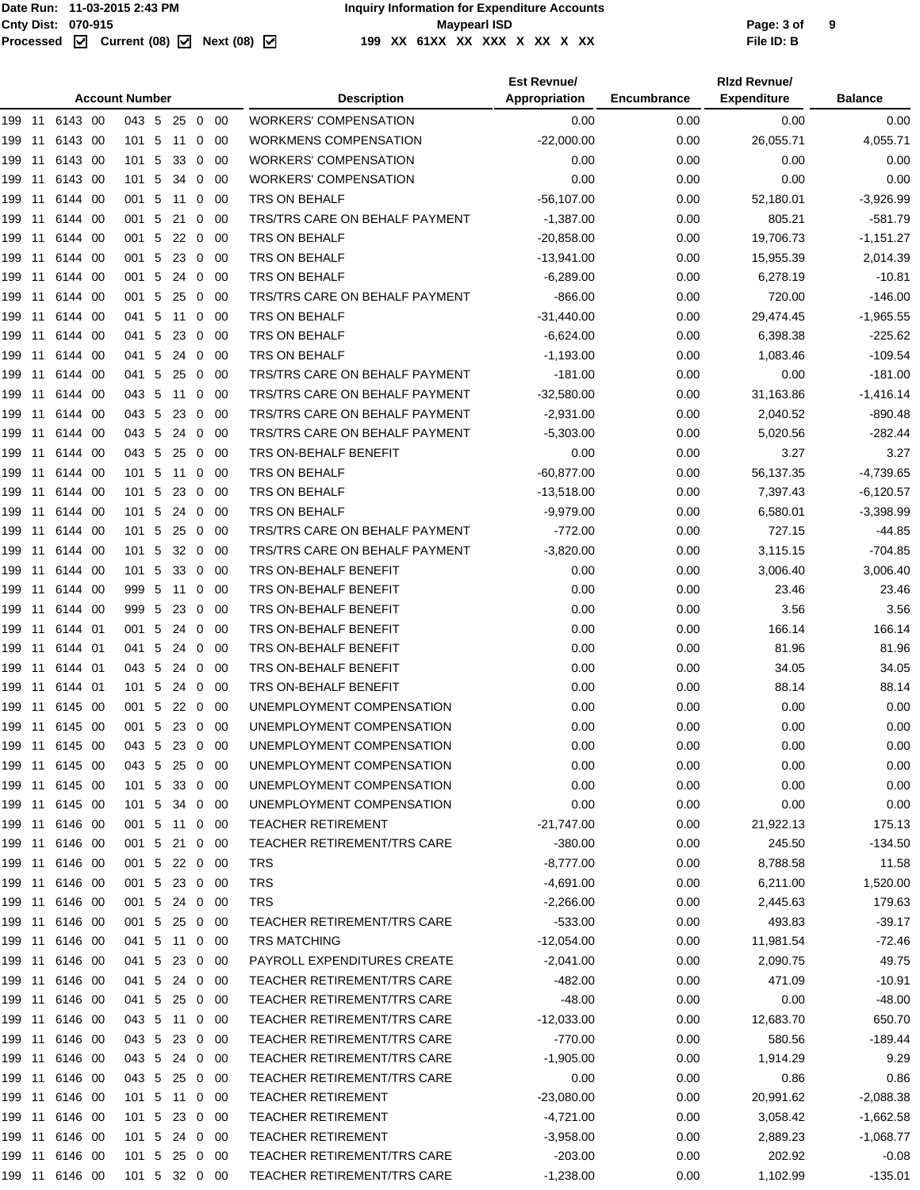|        |    |                |      | <b>Account Number</b> |            |                          |      | <b>Description</b>                    | <b>Est Revnue/</b><br>Appropriation | Encumbrance | <b>Rizd Revnue/</b><br><b>Expenditure</b> | <b>Balance</b> |
|--------|----|----------------|------|-----------------------|------------|--------------------------|------|---------------------------------------|-------------------------------------|-------------|-------------------------------------------|----------------|
|        |    | 199 11 6143 00 |      | 043 5 25 0 00         |            |                          |      | <b>WORKERS' COMPENSATION</b>          | 0.00                                | 0.00        | 0.00                                      | 0.00           |
| 199 11 |    | 6143 00        |      | 101 5                 | 11         | 0                        | -00  | <b>WORKMENS COMPENSATION</b>          | $-22,000.00$                        | 0.00        | 26,055.71                                 | 4,055.71       |
| 199 11 |    | 6143 00        |      | 101 5                 | $33\quad0$ |                          | -00  | <b>WORKERS' COMPENSATION</b>          | 0.00                                | 0.00        | 0.00                                      | 0.00           |
| 199 11 |    | 6143 00        |      | 101 5                 | 34 0       |                          | -00  | <b>WORKERS' COMPENSATION</b>          | 0.00                                | 0.00        | 0.00                                      | 0.00           |
| 199 11 |    | 6144 00        |      | 001 5 11 0            |            |                          | - 00 | TRS ON BEHALF                         | $-56, 107.00$                       | 0.00        | 52,180.01                                 | $-3,926.99$    |
| 199    | 11 | 6144 00        |      | 001 5                 | 21         | 0                        | 00   | TRS/TRS CARE ON BEHALF PAYMENT        | $-1,387.00$                         | 0.00        | 805.21                                    | $-581.79$      |
| 199 11 |    | 6144 00        |      | 001 5                 | 22         | 0                        | -00  | TRS ON BEHALF                         | $-20,858.00$                        | 0.00        | 19,706.73                                 | $-1,151.27$    |
| 199 11 |    | 6144 00        |      | 001 5                 | 23 0       |                          | - 00 | TRS ON BEHALF                         | $-13,941.00$                        | 0.00        | 15,955.39                                 | 2,014.39       |
| 199 11 |    | 6144 00        |      | 001 5                 | 24         | $\mathbf 0$              | -00  | TRS ON BEHALF                         | $-6,289.00$                         | 0.00        | 6,278.19                                  | $-10.81$       |
| 199 11 |    | 6144 00        |      | 001 5                 | 25         | $\overline{\phantom{0}}$ | -00  | TRS/TRS CARE ON BEHALF PAYMENT        | $-866.00$                           | 0.00        | 720.00                                    | $-146.00$      |
| 199 11 |    | 6144 00        |      | 041 5                 | 11 0       |                          | - 00 | TRS ON BEHALF                         | $-31,440.00$                        | 0.00        | 29,474.45                                 | $-1,965.55$    |
| 199    | 11 | 6144           | 00   | 041 5                 | 23         | $\mathbf 0$              | 00   | TRS ON BEHALF                         | $-6,624.00$                         | 0.00        | 6,398.38                                  | $-225.62$      |
| 199 11 |    | 6144           | -00  | 041 5                 | 24         | 0                        | 00   | TRS ON BEHALF                         | $-1,193.00$                         | 0.00        | 1,083.46                                  | $-109.54$      |
| 199 11 |    | 6144 00        |      | 041 5                 | 25         | $\overline{0}$           | -00  | TRS/TRS CARE ON BEHALF PAYMENT        | $-181.00$                           | 0.00        | 0.00                                      | $-181.00$      |
| 199 11 |    | 6144 00        |      | 043 5                 | 11         | $\mathbf 0$              | -00  | <b>TRS/TRS CARE ON BEHALF PAYMENT</b> | $-32,580.00$                        | 0.00        | 31,163.86                                 | $-1,416.14$    |
| 199 11 |    | 6144 00        |      | 043 5                 | 230        |                          | - 00 | TRS/TRS CARE ON BEHALF PAYMENT        | $-2,931.00$                         | 0.00        | 2,040.52                                  | $-890.48$      |
| 199 11 |    | 6144 00        |      | 043 5                 | 24 0       |                          | - 00 | <b>TRS/TRS CARE ON BEHALF PAYMENT</b> | $-5,303.00$                         | 0.00        | 5,020.56                                  | $-282.44$      |
| 199    | 11 | 6144           | -00  | 043 5                 | 25         | $\overline{0}$           | -00  | TRS ON-BEHALF BENEFIT                 | 0.00                                | 0.00        | 3.27                                      | 3.27           |
| 199 11 |    | 6144 00        |      | 101 5                 | 11         | 0                        | -00  | TRS ON BEHALF                         | $-60,877.00$                        | 0.00        | 56,137.35                                 | $-4,739.65$    |
| 199 11 |    | 6144 00        |      | 101 5                 | 23         | $\overline{0}$           | - 00 | TRS ON BEHALF                         | $-13,518.00$                        | 0.00        | 7,397.43                                  | $-6,120.57$    |
| 199 11 |    | 6144 00        |      | 101 5                 | 24         | $\mathbf 0$              | -00  | TRS ON BEHALF                         | $-9,979.00$                         | 0.00        | 6,580.01                                  | $-3,398.99$    |
| 199 11 |    | 6144 00        |      | 101 5                 | 25 0       |                          | - 00 | TRS/TRS CARE ON BEHALF PAYMENT        | $-772.00$                           | 0.00        | 727.15                                    | $-44.85$       |
| 199 11 |    | 6144 00        |      | 101 5                 | $32\quad0$ |                          | - 00 | TRS/TRS CARE ON BEHALF PAYMENT        | $-3,820.00$                         | 0.00        | 3,115.15                                  | $-704.85$      |
| 199    | 11 | 6144           | -00  | 101 5                 | 33         | $\mathbf 0$              | 00   | TRS ON-BEHALF BENEFIT                 | 0.00                                | 0.00        | 3,006.40                                  | 3,006.40       |
| 199 11 |    | 6144           | -00  | 999 5                 | 11         | 0                        | 00   | TRS ON-BEHALF BENEFIT                 | 0.00                                | 0.00        | 23.46                                     | 23.46          |
| 199 11 |    | 6144 00        |      | 999 5                 | 23         | $\overline{0}$           | -00  | TRS ON-BEHALF BENEFIT                 | 0.00                                | 0.00        | 3.56                                      | 3.56           |
| 199 11 |    | 6144 01        |      | 001 5                 | 24         | $\mathbf 0$              | 00   | TRS ON-BEHALF BENEFIT                 | 0.00                                | 0.00        | 166.14                                    | 166.14         |
| 199 11 |    | 6144 01        |      | 041 5                 | 24 0       |                          | -00  | TRS ON-BEHALF BENEFIT                 | 0.00                                | 0.00        | 81.96                                     | 81.96          |
| 199 11 |    | 6144 01        |      | 043 5                 | 24         | $\overline{0}$           | -00  | TRS ON-BEHALF BENEFIT                 | 0.00                                | 0.00        | 34.05                                     | 34.05          |
| 199    | 11 | 6144 01        |      | 101 5                 | 24         | 0                        | 00   | TRS ON-BEHALF BENEFIT                 | 0.00                                | 0.00        | 88.14                                     | 88.14          |
| 199 11 |    | 6145           | - 00 | 001 5                 | $22 \ 0$   |                          | 00   | UNEMPLOYMENT COMPENSATION             | 0.00                                | 0.00        | 0.00                                      | 0.00           |
|        |    | 199 11 6145 00 |      | 001 5 23 0 00         |            |                          |      | UNEMPLOYMENT COMPENSATION             | 0.00                                | 0.00        | 0.00                                      | 0.00           |
| 199    | 11 | 6145 00        |      | 043 5                 | 23 0       |                          | - 00 | UNEMPLOYMENT COMPENSATION             | 0.00                                | 0.00        | 0.00                                      | 0.00           |
|        |    | 199 11 6145 00 |      | 043 5                 | 25 0 00    |                          |      | UNEMPLOYMENT COMPENSATION             | 0.00                                | 0.00        | 0.00                                      | 0.00           |
|        |    | 199 11 6145 00 |      | 101 5 33 0 00         |            |                          |      | UNEMPLOYMENT COMPENSATION             | 0.00                                | 0.00        | 0.00                                      | 0.00           |
| 199 11 |    | 6145 00        |      | 101 5                 | 34 0 00    |                          |      | UNEMPLOYMENT COMPENSATION             | 0.00                                | 0.00        | 0.00                                      | 0.00           |
|        |    | 199 11 6146 00 |      | 001 5                 | 11 0       |                          | - 00 | TEACHER RETIREMENT                    | $-21,747.00$                        | 0.00        | 21,922.13                                 | 175.13         |
| 199 11 |    | 6146 00        |      | 001 5                 | 21 0 00    |                          |      | <b>TEACHER RETIREMENT/TRS CARE</b>    | $-380.00$                           | 0.00        | 245.50                                    | $-134.50$      |
| 199 11 |    | 6146 00        |      | 001 5                 | 22 0 00    |                          |      | <b>TRS</b>                            | $-8,777.00$                         | 0.00        | 8,788.58                                  | 11.58          |
| 199 11 |    | 6146 00        |      | 001 5 23 0 00         |            |                          |      | <b>TRS</b>                            | $-4,691.00$                         | 0.00        | 6,211.00                                  | 1,520.00       |
| 199 11 |    | 6146 00        |      | 001 5 24 0 00         |            |                          |      | <b>TRS</b>                            | $-2,266.00$                         | 0.00        | 2,445.63                                  | 179.63         |
| 199 11 |    | 6146 00        |      | 001 5                 | 25 0 00    |                          |      | TEACHER RETIREMENT/TRS CARE           | $-533.00$                           | 0.00        | 493.83                                    | $-39.17$       |
|        |    | 199 11 6146 00 |      | 041 5 11 0            |            |                          | - 00 | TRS MATCHING                          | $-12,054.00$                        | 0.00        | 11,981.54                                 | -72.46         |
| 199 11 |    | 6146 00        |      | 041 5                 | 23 0 00    |                          |      | PAYROLL EXPENDITURES CREATE           | $-2,041.00$                         | 0.00        | 2,090.75                                  | 49.75          |
| 199 11 |    | 6146 00        |      | 041 5                 | 24 0 00    |                          |      | TEACHER RETIREMENT/TRS CARE           | -482.00                             | 0.00        | 471.09                                    | $-10.91$       |
|        |    | 199 11 6146 00 |      | 041 5 25 0 00         |            |                          |      | <b>TEACHER RETIREMENT/TRS CARE</b>    | $-48.00$                            | 0.00        | 0.00                                      | $-48.00$       |
|        |    | 199 11 6146 00 |      | 043 5 11 0 00         |            |                          |      | TEACHER RETIREMENT/TRS CARE           | $-12,033.00$                        | 0.00        | 12,683.70                                 | 650.70         |
| 199 11 |    | 6146 00        |      | 043 5                 | 23 0 00    |                          |      | TEACHER RETIREMENT/TRS CARE           | -770.00                             | 0.00        | 580.56                                    | $-189.44$      |
|        |    | 199 11 6146 00 |      | 043 5                 | 24 0 00    |                          |      | TEACHER RETIREMENT/TRS CARE           | $-1,905.00$                         | 0.00        | 1,914.29                                  | 9.29           |
| 199 11 |    | 6146 00        |      | 043 5 25 0 00         |            |                          |      | <b>TEACHER RETIREMENT/TRS CARE</b>    | 0.00                                | 0.00        | 0.86                                      | 0.86           |
| 199 11 |    | 6146 00        |      | 101 5 11 0 00         |            |                          |      | TEACHER RETIREMENT                    | $-23,080.00$                        | 0.00        | 20,991.62                                 | $-2,088.38$    |
| 199 11 |    | 6146 00        |      | 101 5 23 0 00         |            |                          |      | TEACHER RETIREMENT                    | $-4,721.00$                         | 0.00        | 3,058.42                                  | $-1,662.58$    |
| 199 11 |    | 6146 00        |      | 101 5 24 0 00         |            |                          |      | TEACHER RETIREMENT                    | $-3,958.00$                         | 0.00        | 2,889.23                                  | $-1,068.77$    |
| 199 11 |    | 6146 00        |      | 101 5 25 0 00         |            |                          |      | TEACHER RETIREMENT/TRS CARE           | $-203.00$                           | 0.00        | 202.92                                    | $-0.08$        |
|        |    | 199 11 6146 00 |      | 101 5 32 0 00         |            |                          |      | TEACHER RETIREMENT/TRS CARE           | $-1,238.00$                         | 0.00        | 1,102.99                                  | $-135.01$      |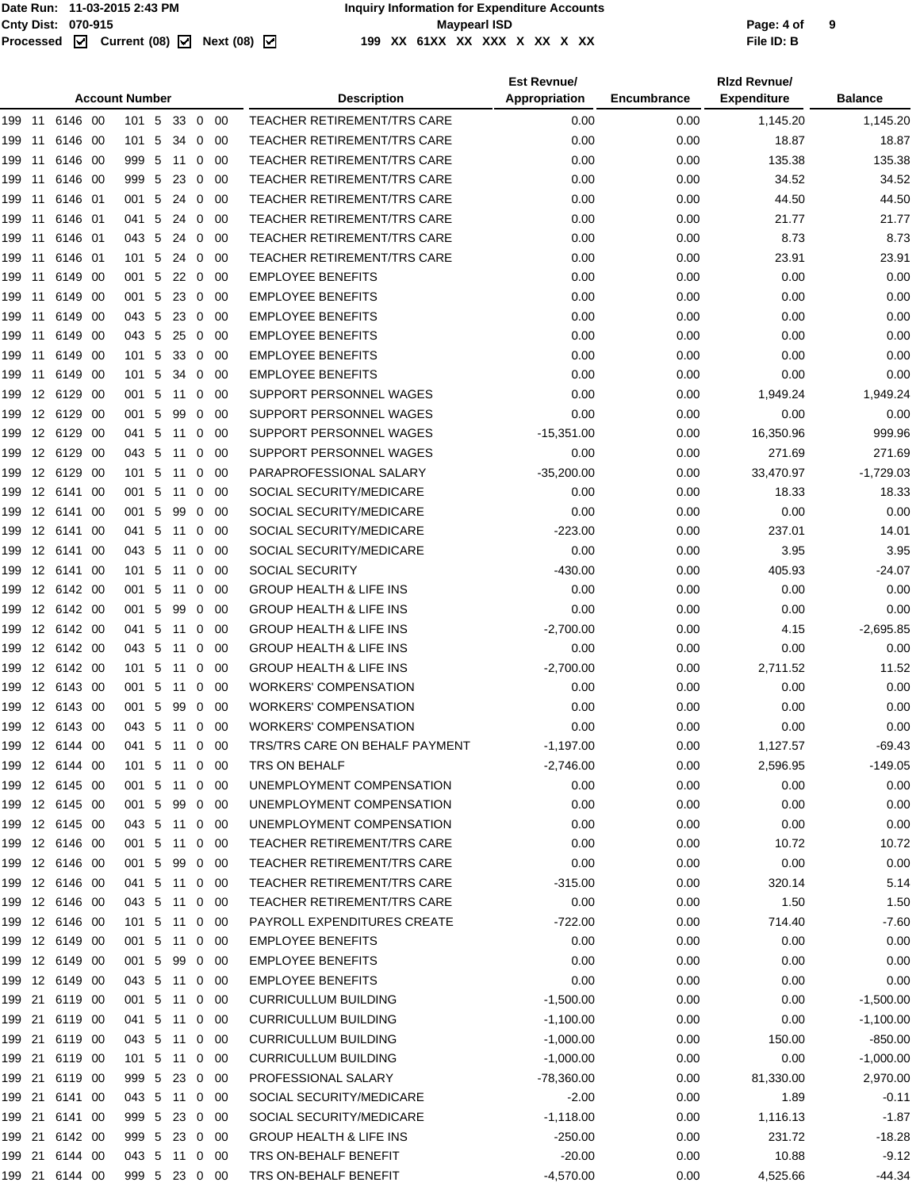### Cnty Dist: 070-915<br> **Page: 4 of**<br>
Processed **M** Current (08) M Next (08) M 199 XX 61XX XX XX X XX X XX XX **199 XX 61XX XX XXX X XX X XX File ID: B**

|                |            | <b>Account Number</b> |    |    |              |             | <b>Description</b>                 | <b>Est Revnue/</b><br>Appropriation | <b>Encumbrance</b> | <b>Rizd Revnue/</b><br><b>Expenditure</b> | <b>Balance</b> |  |
|----------------|------------|-----------------------|----|----|--------------|-------------|------------------------------------|-------------------------------------|--------------------|-------------------------------------------|----------------|--|
| 199<br>11      | 6146 00    | 101 5                 |    |    |              | 33 0 00     | <b>TEACHER RETIREMENT/TRS CARE</b> | 0.00                                | 0.00               | 1,145.20                                  | 1,145.20       |  |
| 11             | 6146 00    | $101 \quad 5$         |    | 34 |              | $0\quad 00$ | <b>TEACHER RETIREMENT/TRS CARE</b> | 0.00                                | 0.00               | 18.87                                     | 18.87          |  |
| 199            |            |                       |    |    |              |             | <b>TEACHER RETIREMENT/TRS CARE</b> |                                     |                    |                                           |                |  |
| 199<br>11      | 6146 00    | 999 5                 |    | 11 | $\mathbf{0}$ | - 00        |                                    | 0.00                                | 0.00               | 135.38                                    | 135.38         |  |
| 199<br>11      | 6146 00    | 999 5                 |    | 23 | 0            | -00         | <b>TEACHER RETIREMENT/TRS CARE</b> | 0.00                                | 0.00               | 34.52                                     | 34.52          |  |
| 199<br>11      | 6146 01    | 001 5                 |    | 24 | 0            | -00         | <b>TEACHER RETIREMENT/TRS CARE</b> | 0.00                                | 0.00               | 44.50                                     | 44.50          |  |
| 199<br>11      | 6146 01    | 041 5                 |    | 24 |              | $0\quad 00$ | <b>TEACHER RETIREMENT/TRS CARE</b> | 0.00                                | 0.00               | 21.77                                     | 21.77          |  |
| 199<br>11      | 6146 01    | 043                   | -5 | 24 | 0            | -00         | <b>TEACHER RETIREMENT/TRS CARE</b> | 0.00                                | 0.00               | 8.73                                      | 8.73           |  |
| 199<br>11      | 6146 01    | 101 5                 |    | 24 | $\mathbf{0}$ | - 00        | <b>TEACHER RETIREMENT/TRS CARE</b> | 0.00                                | 0.00               | 23.91                                     | 23.91          |  |
| 199<br>11      | 6149 00    | 001 5                 |    | 22 |              | $0\quad 00$ | <b>EMPLOYEE BENEFITS</b>           | 0.00                                | 0.00               | 0.00                                      | 0.00           |  |
| 199<br>11      | 6149 00    | 001 5                 |    | 23 | $\mathbf{0}$ | - 00        | <b>EMPLOYEE BENEFITS</b>           | 0.00                                | 0.00               | 0.00                                      | 0.00           |  |
| 199<br>11      | 6149 00    | 043 5                 |    | 23 |              | $0\quad 00$ | <b>EMPLOYEE BENEFITS</b>           | 0.00                                | 0.00               | 0.00                                      | 0.00           |  |
| 199<br>11      | 6149 00    | 043 5                 |    | 25 |              | $0\quad 00$ | <b>EMPLOYEE BENEFITS</b>           | 0.00                                | 0.00               | 0.00                                      | 0.00           |  |
| 199<br>11      | 6149 00    | 101 5                 |    | 33 | 0            | -00         | <b>EMPLOYEE BENEFITS</b>           | 0.00                                | 0.00               | 0.00                                      | 0.00           |  |
| 199<br>11      | 6149 00    | $101 \quad 5$         |    | 34 | $\mathbf{0}$ | -00         | <b>EMPLOYEE BENEFITS</b>           | 0.00                                | 0.00               | 0.00                                      | 0.00           |  |
| 199            | 12 6129 00 | 001 5                 |    | 11 | $\mathbf{0}$ | -00         | SUPPORT PERSONNEL WAGES            | 0.00                                | 0.00               | 1,949.24                                  | 1,949.24       |  |
| 199            | 12 6129 00 | 001 5                 |    | 99 | 0            | 00          | SUPPORT PERSONNEL WAGES            | 0.00                                | 0.00               | 0.00                                      | 0.00           |  |
| 199            | 12 6129 00 | 041 5                 |    | 11 | 0            | -00         | SUPPORT PERSONNEL WAGES            | $-15,351.00$                        | 0.00               | 16,350.96                                 | 999.96         |  |
| 199            | 12 6129 00 | 043 5                 |    | 11 |              | $0\quad 00$ | SUPPORT PERSONNEL WAGES            | 0.00                                | 0.00               | 271.69                                    | 271.69         |  |
| 199            | 12 6129 00 | 101                   | -5 | 11 | 0            | 00          | PARAPROFESSIONAL SALARY            | $-35,200.00$                        | 0.00               | 33,470.97                                 | $-1,729.03$    |  |
| 199            | 12 6141 00 | 001 5                 |    | 11 | $\mathbf{0}$ | - 00        | SOCIAL SECURITY/MEDICARE           | 0.00                                | 0.00               | 18.33                                     | 18.33          |  |
| 199            | 12 6141 00 | 001 5                 |    | 99 |              | $0\quad 00$ | SOCIAL SECURITY/MEDICARE           | 0.00                                | 0.00               | 0.00                                      | 0.00           |  |
| 199            | 12 6141 00 | 041 5                 |    | 11 | 0            | -00         | SOCIAL SECURITY/MEDICARE           | $-223.00$                           | 0.00               | 237.01                                    | 14.01          |  |
| 199            | 12 6141 00 | 043 5                 |    | 11 | $\mathbf{0}$ | -00         | SOCIAL SECURITY/MEDICARE           | 0.00                                | 0.00               | 3.95                                      | 3.95           |  |
| 199            | 12 6141 00 | 101 5                 |    | 11 |              | $0\quad 00$ | SOCIAL SECURITY                    | $-430.00$                           | 0.00               | 405.93                                    | $-24.07$       |  |
| 199            | 12 6142 00 | 001 5                 |    | 11 | 0            | -00         | <b>GROUP HEALTH &amp; LIFE INS</b> | 0.00                                | 0.00               | 0.00                                      | 0.00           |  |
| 199            | 12 6142 00 | 001                   | -5 | 99 | 0            | -00         | <b>GROUP HEALTH &amp; LIFE INS</b> | 0.00                                | 0.00               | 0.00                                      | 0.00           |  |
| 199            | 12 6142 00 | 041 5                 |    | 11 | $\mathbf{0}$ | -00         | <b>GROUP HEALTH &amp; LIFE INS</b> | $-2,700.00$                         | 0.00               | 4.15                                      | $-2,695.85$    |  |
| 199            | 12 6142 00 | 043 5                 |    | 11 | 0            | -00         | <b>GROUP HEALTH &amp; LIFE INS</b> | 0.00                                | 0.00               | 0.00                                      | 0.00           |  |
| 199            | 12 6142 00 | 101 5                 |    | 11 | $\mathbf{0}$ | - 00        | <b>GROUP HEALTH &amp; LIFE INS</b> | $-2,700.00$                         | 0.00               | 2,711.52                                  | 11.52          |  |
| 199            | 12 6143 00 | 001 5                 |    | 11 |              | $0\quad 00$ | <b>WORKERS' COMPENSATION</b>       | 0.00                                | 0.00               | 0.00                                      | 0.00           |  |
| 199            | 12 6143 00 | 001                   | 5  | 99 | $\mathbf{0}$ | - 00        | <b>WORKERS' COMPENSATION</b>       | 0.00                                | 0.00               | 0.00                                      | 0.00           |  |
| 199 12 6143 00 |            | 043 5 11              |    |    |              | $0\quad 00$ | <b>WORKERS' COMPENSATION</b>       | 0.00                                | 0.00               | 0.00                                      | 0.00           |  |
| 199            | 12 6144 00 | 041                   | 5  | 11 | $\mathbf 0$  | 00          | TRS/TRS CARE ON BEHALF PAYMENT     | $-1,197.00$                         | 0.00               | 1,127.57                                  | $-69.43$       |  |
| 199            | 12 6144 00 | $101 \quad 5$         |    | 11 |              | $0\quad 00$ | TRS ON BEHALF                      | $-2,746.00$                         | 0.00               | 2,596.95                                  | $-149.05$      |  |
|                | 12 6145 00 | 001 5 11 0 00         |    |    |              |             | UNEMPLOYMENT COMPENSATION          | 0.00                                |                    |                                           | 0.00           |  |
| 199            |            |                       |    |    |              |             |                                    |                                     | 0.00               | 0.00                                      |                |  |
| 199            | 12 6145 00 | 001 5                 |    | 99 |              | $0\quad 00$ | UNEMPLOYMENT COMPENSATION          | 0.00                                | 0.00               | 0.00                                      | 0.00           |  |
| 199            | 12 6145 00 | 043 5 11              |    |    |              | $0\quad 00$ | UNEMPLOYMENT COMPENSATION          | 0.00                                | 0.00               | 0.00                                      | 0.00           |  |
| 199            | 12 6146 00 | 001 5                 |    | 11 |              | $0\quad 00$ | TEACHER RETIREMENT/TRS CARE        | 0.00                                | 0.00               | 10.72                                     | 10.72          |  |
| 199 12 6146 00 |            | 001 5                 |    | 99 |              | $0\quad00$  | <b>TEACHER RETIREMENT/TRS CARE</b> | 0.00                                | 0.00               | 0.00                                      | 0.00           |  |
| 199            | 12 6146 00 | 041 5                 |    | 11 |              | $0\quad 00$ | TEACHER RETIREMENT/TRS CARE        | $-315.00$                           | 0.00               | 320.14                                    | 5.14           |  |
| 199 12 6146 00 |            | 043 5 11 0 00         |    |    |              |             | <b>TEACHER RETIREMENT/TRS CARE</b> | 0.00                                | 0.00               | 1.50                                      | 1.50           |  |
| 199 12 6146 00 |            | 101 5 11              |    |    |              | $0\quad 00$ | PAYROLL EXPENDITURES CREATE        | $-722.00$                           | 0.00               | 714.40                                    | $-7.60$        |  |
| 199            | 12 6149 00 | 001 5 11              |    |    |              | $0\quad 00$ | <b>EMPLOYEE BENEFITS</b>           | 0.00                                | 0.00               | 0.00                                      | 0.00           |  |
| 199            | 12 6149 00 | 001 5                 |    | 99 |              | $0\quad 00$ | <b>EMPLOYEE BENEFITS</b>           | 0.00                                | 0.00               | 0.00                                      | 0.00           |  |
| 199 12 6149 00 |            | 043 5 11              |    |    |              | $0\quad 00$ | <b>EMPLOYEE BENEFITS</b>           | 0.00                                | 0.00               | 0.00                                      | 0.00           |  |
| 199 21 6119 00 |            | 001 5                 |    | 11 |              | $0\quad 00$ | <b>CURRICULLUM BUILDING</b>        | $-1,500.00$                         | 0.00               | 0.00                                      | $-1,500.00$    |  |
| 199 21 6119 00 |            | 041 5 11              |    |    |              | $0\quad 00$ | <b>CURRICULLUM BUILDING</b>        | $-1,100.00$                         | 0.00               | 0.00                                      | $-1,100.00$    |  |
| 199 21         | 6119 00    | 043 5 11              |    |    |              | $0\quad 00$ | <b>CURRICULLUM BUILDING</b>        | $-1,000.00$                         | 0.00               | 150.00                                    | $-850.00$      |  |
| 199 21         | 6119 00    | 101 5 11              |    |    |              | $0\quad 00$ | <b>CURRICULLUM BUILDING</b>        | $-1,000.00$                         | 0.00               | 0.00                                      | $-1,000.00$    |  |
| 199 21 6119 00 |            | 999 5                 |    |    |              | 23 0 00     | PROFESSIONAL SALARY                | -78,360.00                          | 0.00               | 81,330.00                                 | 2,970.00       |  |
| 199 21 6141 00 |            | 043 5 11              |    |    |              | $0\quad 00$ | SOCIAL SECURITY/MEDICARE           | $-2.00$                             | 0.00               | 1.89                                      | $-0.11$        |  |
| 199 21         | 6141 00    | 999 5 23              |    |    |              | $0\quad00$  | SOCIAL SECURITY/MEDICARE           | $-1,118.00$                         | 0.00               | 1,116.13                                  | $-1.87$        |  |
| 199 21 6142 00 |            | 999 5 23 0 00         |    |    |              |             | <b>GROUP HEALTH &amp; LIFE INS</b> | $-250.00$                           | 0.00               | 231.72                                    | $-18.28$       |  |
| 199 21         | 6144 00    | 043 5 11              |    |    |              | $0\quad00$  | TRS ON-BEHALF BENEFIT              | $-20.00$                            | 0.00               | 10.88                                     | $-9.12$        |  |
| 199 21         | 6144 00    | 999 5 23 0 00         |    |    |              |             | TRS ON-BEHALF BENEFIT              | $-4,570.00$                         | 0.00               | 4,525.66                                  | $-44.34$       |  |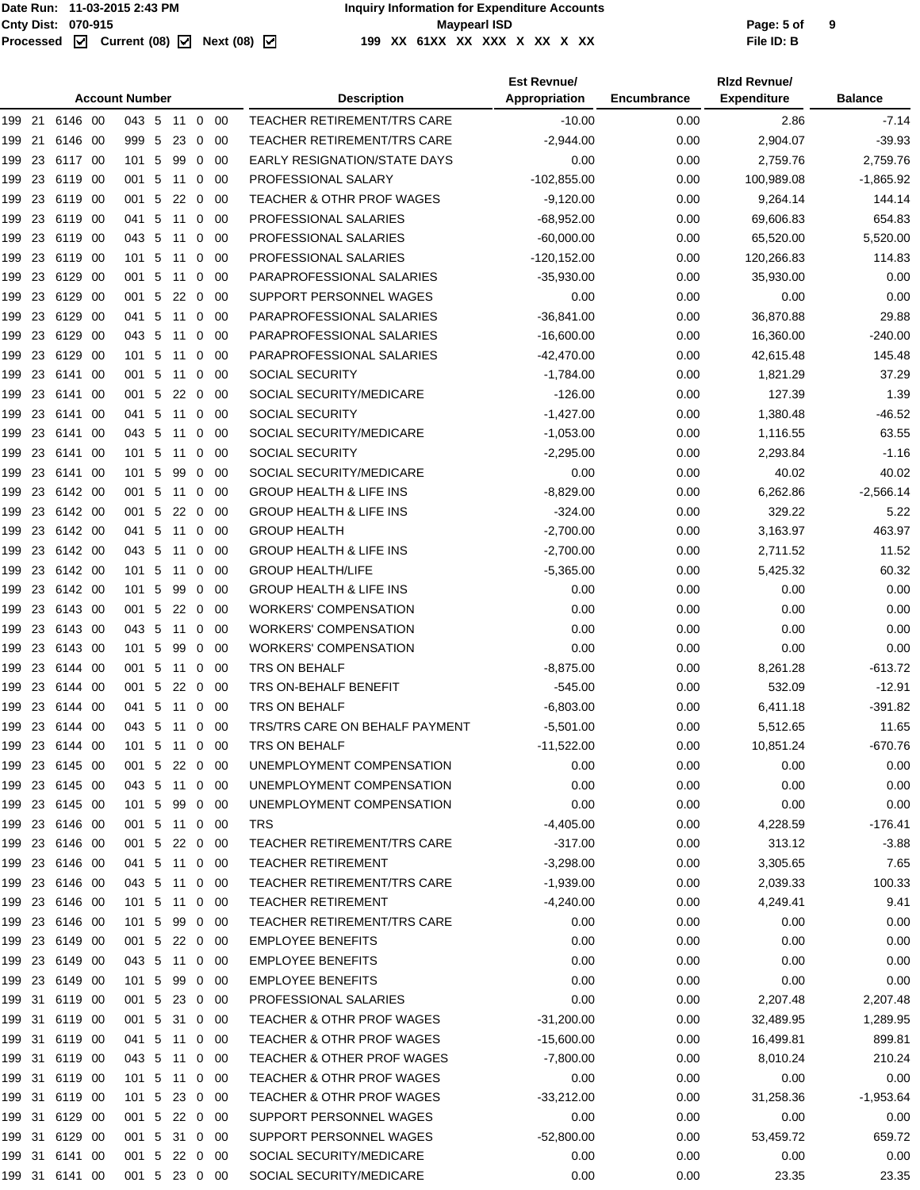| <b>Account Number</b>                                       |      | <b>Description</b>                      | <b>Est Revnue/</b><br>Appropriation | Encumbrance  | <b>Rizd Revnue/</b><br><b>Expenditure</b> | <b>Balance</b> |
|-------------------------------------------------------------|------|-----------------------------------------|-------------------------------------|--------------|-------------------------------------------|----------------|
| 6146 00<br>043 5 11 0 00<br>199 21                          |      | <b>TEACHER RETIREMENT/TRS CARE</b>      | $-10.00$                            | 0.00         | 2.86                                      | $-7.14$        |
| 6146 00<br>999 5 23<br>199 21<br>$\mathbf 0$                | -00  | TEACHER RETIREMENT/TRS CARE             | $-2,944.00$                         | 0.00         | 2,904.07                                  | $-39.93$       |
| 23<br>101 5<br>99<br>6117 00<br>$\mathbf 0$<br>199          | -00  | <b>EARLY RESIGNATION/STATE DAYS</b>     | 0.00                                | 0.00         | 2,759.76                                  | 2.759.76       |
| 23<br>001 5<br>199<br>6119 00<br>11<br>$\mathbf 0$          | -00  | PROFESSIONAL SALARY                     | $-102,855.00$                       | 0.00         | 100,989.08                                | $-1,865.92$    |
| 001 5<br>199<br>23<br>6119 00<br>22<br>$\overline{0}$       | -00  | <b>TEACHER &amp; OTHR PROF WAGES</b>    | $-9,120.00$                         | 0.00         | 9,264.14                                  | 144.14         |
| 23<br>6119 00<br>041 5<br>199<br>11<br>$\mathbf 0$          | -00  | PROFESSIONAL SALARIES                   | $-68,952.00$                        | 0.00         | 69,606.83                                 | 654.83         |
| 23<br>6119 00<br>043 5<br>199<br>11<br>$\mathbf 0$          | -00  | PROFESSIONAL SALARIES                   | $-60,000.00$                        | 0.00         | 65,520.00                                 | 5,520.00       |
| 6119 00<br>101 5<br>199<br>-23<br>11<br>$\mathbf 0$         | -00  | PROFESSIONAL SALARIES                   | $-120, 152.00$                      | 0.00         | 120,266.83                                | 114.83         |
| 23<br>6129<br>- 00<br>001 5<br>11<br>199<br>0               | 00   | PARAPROFESSIONAL SALARIES               | $-35,930.00$                        | 0.00         | 35,930.00                                 | 0.00           |
| 23<br>001 5<br>199<br>6129<br>- 00<br>22<br>$\mathbf 0$     | -00  | SUPPORT PERSONNEL WAGES                 | 0.00                                | 0.00         | 0.00                                      | 0.00           |
| 041 5<br>-23<br>6129 00<br>11<br>$\mathbf 0$<br>199         | -00  | PARAPROFESSIONAL SALARIES               | $-36,841.00$                        | 0.00         | 36,870.88                                 | 29.88          |
| 23<br>6129 00<br>043 5<br>199<br>11<br>$\mathbf 0$          | -00  | PARAPROFESSIONAL SALARIES               | $-16,600.00$                        | 0.00         | 16,360.00                                 | $-240.00$      |
| 23<br>6129 00<br>101 5<br>199<br>11 0                       | -00  | PARAPROFESSIONAL SALARIES               | $-42,470.00$                        | 0.00         | 42,615.48                                 | 145.48         |
| 001 5<br>199<br>23<br>6141 00<br>11<br>$\mathbf 0$          | -00  | <b>SOCIAL SECURITY</b>                  | $-1,784.00$                         | 0.00         | 1,821.29                                  | 37.29          |
| 23<br>00<br>001 5<br>22<br>6141<br>199<br>0                 | -00  | SOCIAL SECURITY/MEDICARE                | $-126.00$                           | 0.00         | 127.39                                    | 1.39           |
| 23<br>041 5<br>199<br>6141<br>- 00<br>11<br>$\mathbf 0$     | -00  | <b>SOCIAL SECURITY</b>                  | $-1,427.00$                         | 0.00         | 1,380.48                                  | $-46.52$       |
| 043 5<br>199<br>-23<br>6141 00<br>11<br>$\mathbf{0}$        | -00  | SOCIAL SECURITY/MEDICARE                | $-1,053.00$                         | 0.00         | 1,116.55                                  | 63.55          |
| 23<br>6141 00<br>101 5<br>199<br>11<br>$\mathbf{0}$         | -00  | SOCIAL SECURITY                         | $-2,295.00$                         | 0.00         | 2,293.84                                  | $-1.16$        |
| 23<br>6141 00<br>$101 \quad 5$<br>99<br>199<br>$\mathbf{0}$ | -00  | SOCIAL SECURITY/MEDICARE                | 0.00                                | 0.00         | 40.02                                     | 40.02          |
| 6142 00<br>001 5 11 0<br>199<br>-23                         | -00  | <b>GROUP HEALTH &amp; LIFE INS</b>      | $-8,829.00$                         | 0.00         | 6,262.86                                  | $-2,566.14$    |
| 23<br>6142 00<br>001 5<br>22<br>199<br>0                    | -00  | <b>GROUP HEALTH &amp; LIFE INS</b>      | $-324.00$                           | 0.00         | 329.22                                    | 5.22           |
| 23<br>041 5<br>199<br>6142 00<br>11<br>$\overline{0}$       | -00  | <b>GROUP HEALTH</b>                     | $-2,700.00$                         | 0.00         | 3,163.97                                  | 463.97         |
| 043 5<br>23<br>6142 00<br>11<br>$\mathbf 0$<br>199          | -00  | <b>GROUP HEALTH &amp; LIFE INS</b>      | $-2,700.00$                         | 0.00         | 2,711.52                                  | 11.52          |
| 23<br>6142 00<br>101 5<br>199<br>11<br>$\mathbf 0$          | -00  | <b>GROUP HEALTH/LIFE</b>                | $-5,365.00$                         | 0.00         | 5,425.32                                  | 60.32          |
| 23<br>6142 00<br>101 5<br>199<br>99<br>$\mathbf 0$          | -00  | <b>GROUP HEALTH &amp; LIFE INS</b>      | 0.00                                | 0.00         | 0.00                                      | 0.00           |
| 6143 00<br>001 5<br>199<br>23<br>22 0                       | -00  | <b>WORKERS' COMPENSATION</b>            | 0.00                                | 0.00         | 0.00                                      | 0.00           |
| 23<br>6143 00<br>043 5<br>199<br>11<br>0                    | -00  | <b>WORKERS' COMPENSATION</b>            | 0.00                                | 0.00         | 0.00                                      | 0.00           |
| 23<br>$101 \quad 5$<br>99<br>199<br>6143 00<br>$\mathbf{0}$ | -00  | <b>WORKERS' COMPENSATION</b>            | 0.00                                | 0.00         | 0.00                                      | 0.00           |
| 001 5<br>199<br>-23<br>6144 00<br>11<br>$\mathbf 0$         | -00  | <b>TRS ON BEHALF</b>                    | $-8,875.00$                         | 0.00         | 8,261.28                                  | $-613.72$      |
| 23<br>001 5<br>22<br>199<br>6144 00<br>$\overline{0}$       | -00  | TRS ON-BEHALF BENEFIT                   | $-545.00$                           | 0.00         | 532.09                                    | $-12.91$       |
| 23<br>041 5<br>199<br>6144 00<br>11<br>$\mathbf 0$          | -00  | TRS ON BEHALF                           | $-6,803.00$                         | 0.00         | 6,411.18                                  | $-391.82$      |
| 043 5 11 0 00<br>199 23<br>6144 00                          |      | TRS/TRS CARE ON BEHALF PAYMENT          |                                     | 0.00         |                                           | 11.65          |
| 199 23 6144 00<br>101 5 11 0 00                             |      | TRS ON BEHALF                           | $-5,501.00$                         |              | 5,512.65                                  | -670.76        |
| 199 23 6145 00<br>001 5 22 0 00                             |      | UNEMPLOYMENT COMPENSATION               | $-11,522.00$<br>0.00                | 0.00<br>0.00 | 10,851.24<br>0.00                         | 0.00           |
| 199 23 6145 00                                              |      | UNEMPLOYMENT COMPENSATION               |                                     | 0.00         |                                           | 0.00           |
| 043 5 11 0 00<br>199 23 6145 00<br>101 5 99 0 00            |      |                                         | 0.00<br>0.00                        | 0.00         | 0.00<br>0.00                              | 0.00           |
| 199 23 6146 00<br>001 5 11 0 00                             |      | UNEMPLOYMENT COMPENSATION<br><b>TRS</b> | $-4,405.00$                         | 0.00         |                                           | $-176.41$      |
|                                                             |      |                                         |                                     |              | 4,228.59                                  |                |
| 199 23 6146 00<br>001 5 22 0 00                             |      | <b>TEACHER RETIREMENT/TRS CARE</b>      | $-317.00$                           | 0.00         | 313.12                                    | $-3.88$        |
| 199 23<br>6146 00<br>041 5 11 0 00                          |      | <b>TEACHER RETIREMENT</b>               | $-3,298.00$                         | 0.00         | 3,305.65                                  | 7.65           |
| 199 23 6146 00<br>043 5 11 0 00                             |      | TEACHER RETIREMENT/TRS CARE             | $-1,939.00$                         | 0.00         | 2,039.33                                  | 100.33         |
| 199 23 6146 00<br>101 5 11 0 00                             |      | <b>TEACHER RETIREMENT</b>               | $-4,240.00$                         | 0.00         | 4,249.41                                  | 9.41           |
| 199 23 6146 00<br>101 5 99 0 00                             |      | <b>TEACHER RETIREMENT/TRS CARE</b>      | 0.00                                | 0.00         | 0.00                                      | 0.00           |
| 199 23 6149 00<br>001 5 22 0 00                             |      | <b>EMPLOYEE BENEFITS</b>                | 0.00                                | 0.00         | 0.00                                      | 0.00           |
| 199 23 6149 00<br>043 5 11 0 00                             |      | <b>EMPLOYEE BENEFITS</b>                | 0.00                                | 0.00         | 0.00                                      | 0.00           |
| 199 23 6149 00<br>101 5 99                                  | 0 00 | <b>EMPLOYEE BENEFITS</b>                | 0.00                                | 0.00         | 0.00                                      | 0.00           |
| 199 31 6119 00<br>001 5 23 0 00                             |      | PROFESSIONAL SALARIES                   | 0.00                                | 0.00         | 2,207.48                                  | 2,207.48       |
| 6119 00<br>199 31<br>001 5 31 0 00                          |      | <b>TEACHER &amp; OTHR PROF WAGES</b>    | $-31,200.00$                        | 0.00         | 32,489.95                                 | 1,289.95       |
| 199 31<br>6119 00<br>041 5 11 0 00                          |      | <b>TEACHER &amp; OTHR PROF WAGES</b>    | $-15,600.00$                        | 0.00         | 16,499.81                                 | 899.81         |
| 199 31<br>6119 00<br>043 5 11 0 00                          |      | <b>TEACHER &amp; OTHER PROF WAGES</b>   | $-7,800.00$                         | 0.00         | 8,010.24                                  | 210.24         |
| 199 31<br>6119 00<br>101 5 11 0 00                          |      | <b>TEACHER &amp; OTHR PROF WAGES</b>    | 0.00                                | 0.00         | 0.00                                      | 0.00           |
| 199 31<br>6119 00<br>101 5 23 0 00                          |      | <b>TEACHER &amp; OTHR PROF WAGES</b>    | $-33,212.00$                        | 0.00         | 31,258.36                                 | $-1,953.64$    |
| 199 31 6129 00<br>001 5 22 0 00                             |      | SUPPORT PERSONNEL WAGES                 | 0.00                                | 0.00         | 0.00                                      | 0.00           |
| 199 31 6129 00<br>001 5 31 0 00                             |      | SUPPORT PERSONNEL WAGES                 | $-52,800.00$                        | 0.00         | 53,459.72                                 | 659.72         |
| 199 31<br>6141 00<br>001 5 22 0 00                          |      | SOCIAL SECURITY/MEDICARE                | 0.00                                | 0.00         | 0.00                                      | 0.00           |
| 199 31 6141 00<br>001 5 23 0 00                             |      | SOCIAL SECURITY/MEDICARE                | 0.00                                | 0.00         | 23.35                                     | 23.35          |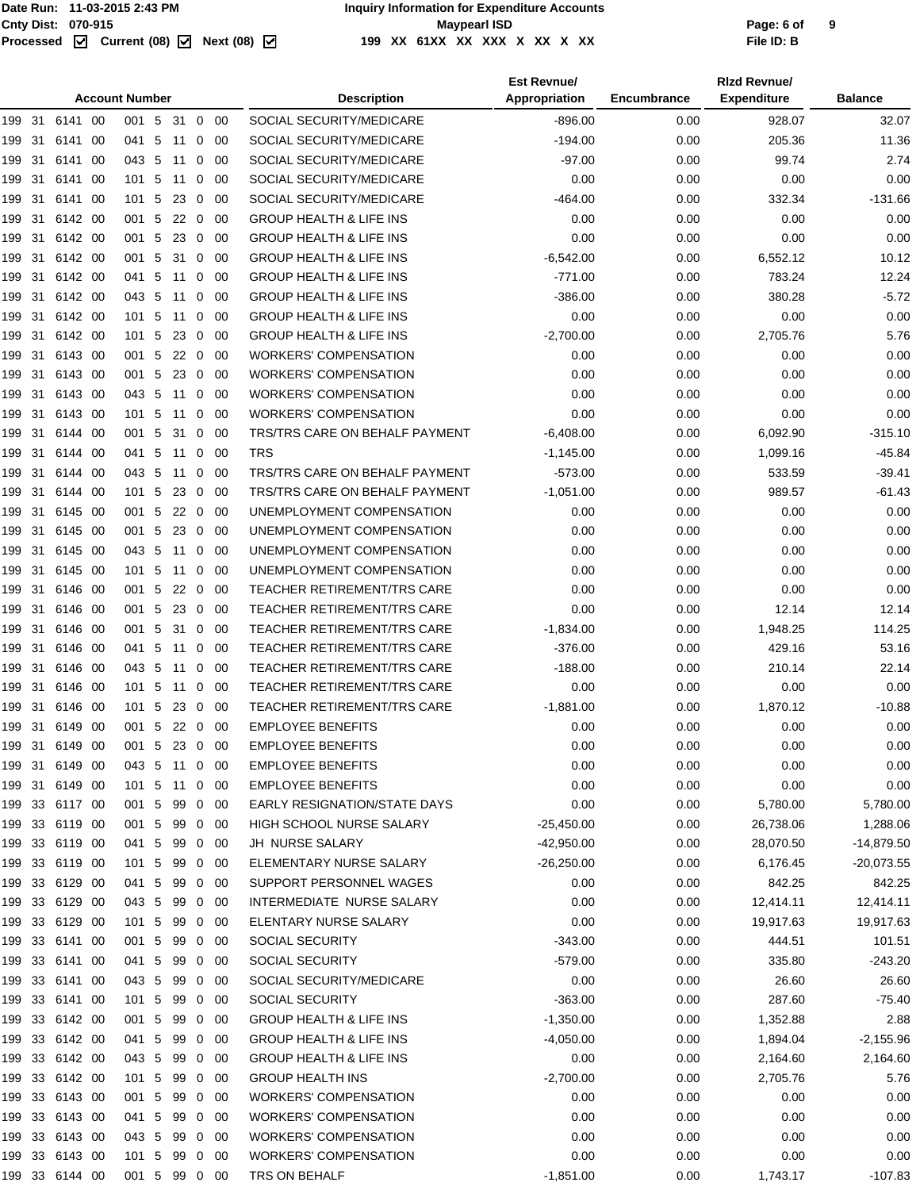|                          |                    | <b>Account Number</b> |                 |          |                     |             | <b>Description</b>                                 | <b>Est Revnue/</b><br>Appropriation | <b>Encumbrance</b> | <b>Rizd Revnuel</b><br><b>Expenditure</b> | <b>Balance</b> |
|--------------------------|--------------------|-----------------------|-----------------|----------|---------------------|-------------|----------------------------------------------------|-------------------------------------|--------------------|-------------------------------------------|----------------|
| 199 31 6141 00           |                    | 001 5                 |                 | 31 0 00  |                     |             | SOCIAL SECURITY/MEDICARE                           | $-896.00$                           | 0.00               | 928.07                                    | 32.07          |
| -31<br>199               | 6141 00            | 041 5                 |                 | 11       | $\mathbf{0}$        | -00         | SOCIAL SECURITY/MEDICARE                           | $-194.00$                           | 0.00               | 205.36                                    | 11.36          |
| 31<br>199                | 6141 00            | 043 5                 |                 | 11       | 0                   | -00         | SOCIAL SECURITY/MEDICARE                           | $-97.00$                            | 0.00               | 99.74                                     | 2.74           |
| 31<br>199                | 6141 00            | 101 5                 |                 | 11       | 0                   | -00         | SOCIAL SECURITY/MEDICARE                           | 0.00                                | 0.00               | 0.00                                      | 0.00           |
| 31<br>199                | 6141 00            | 101 5                 |                 | -23      | $\overline{0}$      | -00         | SOCIAL SECURITY/MEDICARE                           | $-464.00$                           | 0.00               | 332.34                                    | $-131.66$      |
| 31<br>199                | 6142 00            | 001 5                 |                 | 22       | $\overline{0}$      | -00         | <b>GROUP HEALTH &amp; LIFE INS</b>                 | 0.00                                | 0.00               | 0.00                                      | 0.00           |
| 199<br>31                | 6142 00            | 001 5                 |                 | 23       | $\mathbf{0}$        | -00         | <b>GROUP HEALTH &amp; LIFE INS</b>                 | 0.00                                | 0.00               | 0.00                                      | 0.00           |
| 199<br>-31               | 6142 00            | 001 5                 |                 | 31       |                     | $0\quad00$  | <b>GROUP HEALTH &amp; LIFE INS</b>                 | $-6,542.00$                         | 0.00               | 6,552.12                                  | 10.12          |
| 31<br>199                | 6142 00            | 041 5                 |                 | 11       | 0                   | -00         | <b>GROUP HEALTH &amp; LIFE INS</b>                 | $-771.00$                           | 0.00               | 783.24                                    | 12.24          |
| 31<br>199                | 6142 00            | 043 5                 |                 | 11       | $\mathbf{0}$        | -00         | <b>GROUP HEALTH &amp; LIFE INS</b>                 | $-386.00$                           | 0.00               | 380.28                                    | $-5.72$        |
| 199<br>-31               | 6142 00            | 101 5                 |                 | 11       | $\mathbf{0}$        | - 00        | <b>GROUP HEALTH &amp; LIFE INS</b>                 | 0.00                                | 0.00               | 0.00                                      | 0.00           |
| 31<br>199                | 6142 00            | $101 \quad 5$         |                 | 23       | $\mathbf 0$         | -00         | <b>GROUP HEALTH &amp; LIFE INS</b>                 | $-2,700.00$                         | 0.00               | 2,705.76                                  | 5.76           |
| 199<br>-31               | 6143 00            | 001 5                 |                 | 22       | $\overline{0}$      | -00         | <b>WORKERS' COMPENSATION</b>                       | 0.00                                | 0.00               | 0.00                                      | 0.00           |
| 199<br>-31               | 6143 00            | 001 5                 |                 | 23       |                     | $0\quad 00$ | <b>WORKERS' COMPENSATION</b>                       | 0.00                                | 0.00               | 0.00                                      | 0.00           |
| 31<br>199                | 6143 00            | 043 5                 |                 | 11       | 0                   | -00         | <b>WORKERS' COMPENSATION</b>                       | 0.00                                | 0.00               | 0.00                                      | 0.00           |
| 31<br>199                | 6143 00            | $101 \quad 5$         |                 | 11       | $\mathbf{0}$        | - 00        | <b>WORKERS' COMPENSATION</b>                       | 0.00                                | 0.00               | 0.00                                      | 0.00           |
| 199<br>31                | 6144 00            | 001                   | $5\phantom{.0}$ | -31      |                     | $0\quad 00$ | TRS/TRS CARE ON BEHALF PAYMENT                     | $-6,408.00$                         | 0.00               | 6,092.90                                  | $-315.10$      |
| 31<br>199                | 6144 00            | 041                   | 5               | 11       | 0                   | 00          | <b>TRS</b>                                         | $-1,145.00$                         | 0.00               | 1,099.16                                  | $-45.84$       |
| 31<br>199                | 6144 00            | 043 5                 |                 | 11       | 0                   | -00         | TRS/TRS CARE ON BEHALF PAYMENT                     | $-573.00$                           | 0.00               | 533.59                                    | $-39.41$       |
| 199<br>-31               | 6144 00            | $101 \quad 5$         |                 | 23       | $\mathbf 0$         | -00         | TRS/TRS CARE ON BEHALF PAYMENT                     | $-1,051.00$                         | 0.00               | 989.57                                    | $-61.43$       |
| 31<br>199                | 6145 00            | 001 5                 |                 | 22       | $\mathbf 0$         | 00          | UNEMPLOYMENT COMPENSATION                          | 0.00                                | 0.00               | 0.00                                      | 0.00           |
| 31<br>199                | 6145 00            | 001 5                 |                 | 23       | $\mathbf 0$         | -00         | UNEMPLOYMENT COMPENSATION                          | 0.00                                | 0.00               | 0.00                                      | 0.00           |
| 31<br>199                | 6145 00            | 043 5                 |                 | 11       | $\mathbf{0}$        | -00         | UNEMPLOYMENT COMPENSATION                          | 0.00                                | 0.00               | 0.00                                      | 0.00           |
| 31<br>199                | 6145 00            | $101 \quad 5$         |                 | 11       | 0                   | -00         | UNEMPLOYMENT COMPENSATION                          | 0.00                                | 0.00               | 0.00                                      | 0.00           |
| 31<br>199                | 6146 00            | 001 5                 |                 | 22       | $\mathbf 0$         | -00         | <b>TEACHER RETIREMENT/TRS CARE</b>                 | 0.00                                | 0.00               | 0.00                                      | 0.00           |
| 199<br>-31               | 6146 00            | 001 5                 |                 |          | $\overline{0}$      | - 00        | <b>TEACHER RETIREMENT/TRS CARE</b>                 | 0.00                                | 0.00               | 12.14                                     | 12.14          |
| 31<br>199                | 6146 00            | 001 5                 |                 | 23<br>31 | $\mathbf 0$         | -00         | <b>TEACHER RETIREMENT/TRS CARE</b>                 | $-1,834.00$                         | 0.00               | 1,948.25                                  | 114.25         |
| 31<br>199                | 6146 00            | 041 5                 |                 | 11       | $\mathbf{0}$        | -00         | <b>TEACHER RETIREMENT/TRS CARE</b>                 | $-376.00$                           | 0.00               | 429.16                                    | 53.16          |
| 199<br>-31               | 6146 00            | 043 5                 |                 | 11       | $\mathbf{0}$        | - 00        | TEACHER RETIREMENT/TRS CARE                        | $-188.00$                           |                    | 210.14                                    | 22.14          |
| 31                       | 6146 00            | $101 \quad 5$         |                 |          |                     |             | TEACHER RETIREMENT/TRS CARE                        | 0.00                                | 0.00<br>0.00       | 0.00                                      | 0.00           |
| 199<br>199<br>-31        | 6146 00            | $101 \quad 5$         |                 | 11<br>23 | 0<br>$\overline{0}$ | -00<br>-00  | <b>TEACHER RETIREMENT/TRS CARE</b>                 | $-1,881.00$                         |                    | 1,870.12                                  | $-10.88$       |
|                          |                    | 001 5 22 0 00         |                 |          |                     |             | <b>EMPLOYEE BENEFITS</b>                           |                                     | 0.00               | 0.00                                      | 0.00           |
| 199 31                   | 6149 00            |                       |                 |          |                     |             | <b>EMPLOYEE BENEFITS</b>                           | 0.00                                | 0.00               |                                           |                |
| 199<br>31                | 6149 00<br>6149 00 | 001                   | 5               |          |                     | 23 0 00     | <b>EMPLOYEE BENEFITS</b>                           | 0.00<br>0.00                        | 0.00               | 0.00                                      | 0.00<br>0.00   |
| 199 31                   |                    | 043 5 11 0 00         |                 |          |                     |             |                                                    |                                     | 0.00               | 0.00                                      |                |
| 199 31<br>199 33 6117 00 | 6149 00            | 101 5 11 0 00         |                 |          |                     |             | <b>EMPLOYEE BENEFITS</b>                           | 0.00                                | 0.00               | 0.00                                      | 0.00           |
|                          |                    | 001 5 99              |                 |          |                     | $0\quad 00$ | <b>EARLY RESIGNATION/STATE DAYS</b>                | 0.00                                | 0.00               | 5,780.00                                  | 5,780.00       |
| 199 33 6119 00           |                    | 001 5                 |                 | 99       |                     | $0\quad00$  | HIGH SCHOOL NURSE SALARY                           | $-25,450.00$                        | 0.00               | 26,738.06                                 | 1,288.06       |
| 199 33 6119 00           |                    | 041 5 99 0 00         |                 |          |                     |             | JH NURSE SALARY                                    | -42,950.00                          | 0.00               | 28,070.50                                 | $-14,879.50$   |
| 199 33 6119 00           |                    | 101 5                 |                 | 99       | $\overline{0}$      | - 00        | ELEMENTARY NURSE SALARY<br>SUPPORT PERSONNEL WAGES | $-26,250.00$                        | 0.00               | 6,176.45                                  | $-20,073.55$   |
| 199 33 6129 00           |                    | 041 5 99              |                 |          |                     | 0 00        |                                                    | 0.00                                | 0.00               | 842.25                                    | 842.25         |
| 199 33 6129 00           |                    | 043 5 99              |                 |          |                     | $0\quad 00$ | INTERMEDIATE NURSE SALARY                          | 0.00                                | 0.00               | 12,414.11                                 | 12,414.11      |
| 199 33                   | 6129 00            | 101 5                 |                 | 99       | $\overline{0}$      | -00         | ELENTARY NURSE SALARY                              | 0.00                                | 0.00               | 19,917.63                                 | 19,917.63      |
| 199 33 6141 00           |                    | 001 5                 |                 | 99       |                     | $0\quad 00$ | <b>SOCIAL SECURITY</b>                             | $-343.00$                           | 0.00               | 444.51                                    | 101.51         |
| 199 33 6141 00           |                    | 041 5                 |                 | 99       |                     | $0\quad 00$ | <b>SOCIAL SECURITY</b>                             | $-579.00$                           | 0.00               | 335.80                                    | $-243.20$      |
| 199 33 6141 00           |                    | 043 5                 |                 | 99       | $\mathbf 0$         | - 00        | SOCIAL SECURITY/MEDICARE                           | 0.00                                | 0.00               | 26.60                                     | 26.60          |
| 199 33 6141 00           |                    | 101 5                 |                 | 99       |                     | $0\quad 00$ | SOCIAL SECURITY                                    | $-363.00$                           | 0.00               | 287.60                                    | $-75.40$       |
| 199 33 6142 00           |                    | 001 5                 |                 | 99       |                     | $0\quad 00$ | <b>GROUP HEALTH &amp; LIFE INS</b>                 | $-1,350.00$                         | 0.00               | 1,352.88                                  | 2.88           |
| 199                      | 33 6142 00         | 041 5                 |                 | 99       | $\overline{0}$      | - 00        | <b>GROUP HEALTH &amp; LIFE INS</b>                 | $-4,050.00$                         | 0.00               | 1,894.04                                  | $-2,155.96$    |
| 199 33 6142 00           |                    | 043 5                 |                 | 99       |                     | $0\quad 00$ | <b>GROUP HEALTH &amp; LIFE INS</b>                 | 0.00                                | 0.00               | 2,164.60                                  | 2,164.60       |
| 199 33 6142 00           |                    | 101 5                 |                 | 99       |                     | 0 00        | <b>GROUP HEALTH INS</b>                            | $-2,700.00$                         | 0.00               | 2,705.76                                  | 5.76           |
| 199 33 6143 00           |                    | 001 5                 |                 | 99       | $\overline{0}$      | - 00        | <b>WORKERS' COMPENSATION</b>                       | 0.00                                | 0.00               | 0.00                                      | 0.00           |
| 199 33                   | 6143 00            | 041 5                 |                 | 99       |                     | $0\quad 00$ | <b>WORKERS' COMPENSATION</b>                       | 0.00                                | 0.00               | 0.00                                      | 0.00           |
| 199 33 6143 00           |                    | 043 5 99              |                 |          |                     | $0\quad 00$ | <b>WORKERS' COMPENSATION</b>                       | 0.00                                | 0.00               | 0.00                                      | 0.00           |
| 199 33 6143 00           |                    | 101 5 99              |                 |          | $\overline{0}$      | - 00        | <b>WORKERS' COMPENSATION</b>                       | 0.00                                | 0.00               | 0.00                                      | 0.00           |
| 199 33 6144 00           |                    | 001 5 99 0 00         |                 |          |                     |             | TRS ON BEHALF                                      | $-1,851.00$                         | 0.00               | 1,743.17                                  | $-107.83$      |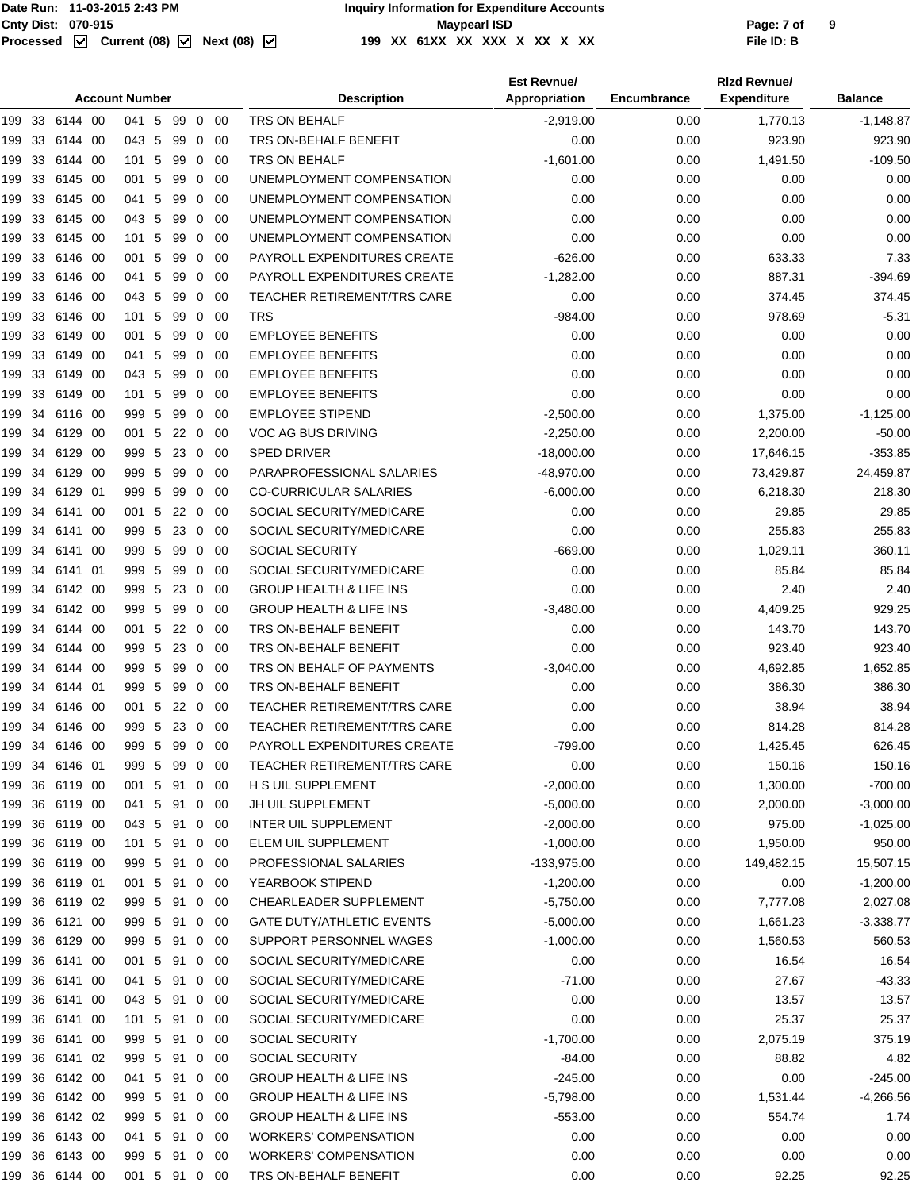#### Page: 7 of<br> **Chall Conty Dist:** 070-915<br>
Processed **M** Current (08) M Next (08) M 199 XX 61XX XX XX X XX X XX XX **199 XX 61XX XX XXX X XX X XX File ID: B**

| <b>Account Number</b> |    |                |      |               |    |         |                |             | <b>Description</b>                 | <b>Est Revnue/</b><br>Appropriation | Encumbrance | <b>Rizd Revnue/</b><br><b>Expenditure</b> | <b>Balance</b> |
|-----------------------|----|----------------|------|---------------|----|---------|----------------|-------------|------------------------------------|-------------------------------------|-------------|-------------------------------------------|----------------|
|                       |    | 199 33 6144 00 |      | 041 5         |    | 99      |                | $0\quad 00$ | TRS ON BEHALF                      | $-2,919.00$                         | 0.00        | 1,770.13                                  | $-1,148.87$    |
| 199                   | 33 | 6144 00        |      | 043 5         |    | 99      |                | $0\quad 00$ | TRS ON-BEHALF BENEFIT              | 0.00                                | 0.00        | 923.90                                    | 923.90         |
| 199 33                |    | 6144 00        |      | 101 5         |    | 99      |                | $0\quad 00$ | TRS ON BEHALF                      | $-1,601.00$                         | 0.00        | 1,491.50                                  | $-109.50$      |
| 199                   | 33 | 6145 00        |      | 001 5         |    | 99      | $\mathbf{0}$   | -00         | UNEMPLOYMENT COMPENSATION          | 0.00                                | 0.00        | 0.00                                      | 0.00           |
| 199                   | 33 | 6145 00        |      | 041 5         |    | 99      |                | $0\quad 00$ | UNEMPLOYMENT COMPENSATION          | 0.00                                | 0.00        | 0.00                                      | 0.00           |
| 199                   | 33 | 6145 00        |      | 043 5         |    | 99      | $\mathbf{0}$   | -00         | UNEMPLOYMENT COMPENSATION          | 0.00                                | 0.00        | 0.00                                      | 0.00           |
| 199                   | 33 | 6145 00        |      | $101 \quad 5$ |    | 99      | 0              | 00          | UNEMPLOYMENT COMPENSATION          | 0.00                                | 0.00        | 0.00                                      | 0.00           |
| 199                   | 33 | 6146 00        |      | 001 5         |    | 99      | $\mathbf{0}$   | -00         | PAYROLL EXPENDITURES CREATE        | $-626.00$                           | 0.00        | 633.33                                    | 7.33           |
| 199                   | 33 | 6146 00        |      | 041 5         |    | 99      |                | $0\quad 00$ | PAYROLL EXPENDITURES CREATE        | $-1,282.00$                         | 0.00        | 887.31                                    | -394.69        |
| 199                   | 33 | 6146 00        |      | 043 5         |    | 99      | $\mathbf{0}$   | -00         | TEACHER RETIREMENT/TRS CARE        | 0.00                                | 0.00        | 374.45                                    | 374.45         |
| 199                   | 33 | 6146 00        |      | 101 5         |    | 99      | $\mathbf{0}$   | 00          | TRS                                | $-984.00$                           | 0.00        | 978.69                                    | $-5.31$        |
| 199                   | 33 | 6149           | - 00 | 001 5         |    | 99      | $\mathbf{0}$   | 00          | <b>EMPLOYEE BENEFITS</b>           | 0.00                                | 0.00        | 0.00                                      | 0.00           |
| 199                   | 33 | 6149           | 00   | 041           | -5 | 99      | 0              | 00          | <b>EMPLOYEE BENEFITS</b>           | 0.00                                | 0.00        | 0.00                                      | 0.00           |
| 199                   | 33 | 6149           | -00  | 043 5         |    | 99      | 0              | 00          | <b>EMPLOYEE BENEFITS</b>           | 0.00                                | 0.00        | 0.00                                      | 0.00           |
| 199                   | 33 | 6149 00        |      | 101 5         |    | 99      | $\mathbf{0}$   | -00         | <b>EMPLOYEE BENEFITS</b>           | 0.00                                | 0.00        | 0.00                                      | 0.00           |
| 199                   | 34 | 6116 00        |      | 999 5         |    | 99      | $\mathbf{0}$   | 00          | <b>EMPLOYEE STIPEND</b>            | $-2,500.00$                         | 0.00        | 1,375.00                                  | $-1,125.00$    |
| 199                   | 34 | 6129 00        |      | 001 5         |    | 22      |                | $0\quad 00$ | VOC AG BUS DRIVING                 | $-2,250.00$                         | 0.00        | 2,200.00                                  | $-50.00$       |
| 199                   | 34 | 6129 00        |      | 999 5         |    | 23      |                | $0\quad 00$ | <b>SPED DRIVER</b>                 | $-18.000.00$                        | 0.00        | 17,646.15                                 | $-353.85$      |
| 199                   | 34 | 6129           | -00  | 999 5         |    | 99      | 0              | 00          | PARAPROFESSIONAL SALARIES          | $-48,970.00$                        | 0.00        | 73,429.87                                 | 24,459.87      |
| 199                   | 34 | 6129 01        |      | 999 5         |    | 99      | $\mathbf{0}$   | -00         | <b>CO-CURRICULAR SALARIES</b>      | $-6,000.00$                         | 0.00        | 6,218.30                                  | 218.30         |
| 199 34                |    | 6141           | - 00 | 001 5         |    | 22      | $\mathbf{0}$   | -00         | SOCIAL SECURITY/MEDICARE           | 0.00                                | 0.00        | 29.85                                     | 29.85          |
| 199                   | 34 | 6141 00        |      | 999 5         |    | 23      | $\mathbf{0}$   | -00         | SOCIAL SECURITY/MEDICARE           | 0.00                                | 0.00        | 255.83                                    | 255.83         |
| 199                   | 34 | 6141 00        |      | 999 5         |    | 99      | $\mathbf{0}$   | -00         | <b>SOCIAL SECURITY</b>             | $-669.00$                           | 0.00        | 1,029.11                                  | 360.11         |
| 199                   | 34 | 6141 01        |      | 999 5         |    | 99      | $\mathbf{0}$   | -00         | SOCIAL SECURITY/MEDICARE           | 0.00                                | 0.00        | 85.84                                     | 85.84          |
| 199                   | 34 | 6142 00        |      | 999 5         |    | 23      | 0              | -00         | <b>GROUP HEALTH &amp; LIFE INS</b> | 0.00                                | 0.00        | 2.40                                      | 2.40           |
| 199                   | 34 | 6142 00        |      | 999 5         |    | 99      | $\mathbf{0}$   | -00         | <b>GROUP HEALTH &amp; LIFE INS</b> | $-3,480.00$                         | 0.00        | 4,409.25                                  | 929.25         |
| 199                   | 34 | 6144 00        |      | 001 5         |    | 22      | $\mathbf{0}$   | -00         | TRS ON-BEHALF BENEFIT              | 0.00                                | 0.00        | 143.70                                    | 143.70         |
| 199                   | 34 | 6144 00        |      | 999 5         |    | 23      |                | $0\quad 00$ | TRS ON-BEHALF BENEFIT              | 0.00                                | 0.00        | 923.40                                    | 923.40         |
| 199                   | 34 | 6144 00        |      | 999 5         |    | 99      |                | $0\quad 00$ | TRS ON BEHALF OF PAYMENTS          | $-3,040.00$                         | 0.00        | 4,692.85                                  | 1,652.85       |
| 199                   | 34 | 6144 01        |      | 999 5         |    | 99      | $\mathbf{0}$   | -00         | TRS ON-BEHALF BENEFIT              | 0.00                                | 0.00        | 386.30                                    | 386.30         |
| 199                   | 34 | 6146 00        |      | 001 5         |    | 22      | $\mathbf 0$    | -00         | TEACHER RETIREMENT/TRS CARE        | 0.00                                | 0.00        | 38.94                                     | 38.94          |
|                       |    | 199 34 6146 00 |      | 999 5         |    | 23 0 00 |                |             | <b>TEACHER RETIREMENT/TRS CARE</b> | 0.00                                | 0.00        | 814.28                                    | 814.28         |
| 199 34                |    | 6146 00        |      | 999 5 99      |    |         | $\overline{0}$ | 00          | PAYROLL EXPENDITURES CREATE        | $-799.00$                           | 0.00        | 1,425.45                                  | 626.45         |
| 199                   | 34 | 6146 01        |      | 999 5         |    | 99      |                | $0\quad 00$ | TEACHER RETIREMENT/TRS CARE        | 0.00                                | 0.00        | 150.16                                    | 150.16         |
| 199                   | 36 | 6119 00        |      | 001 5         |    | 91      |                | $0\quad 00$ | H S UIL SUPPLEMENT                 | $-2,000.00$                         | 0.00        | 1,300.00                                  | $-700.00$      |
| 199                   | 36 | 6119 00        |      | 041 5         |    | 91      |                | $0\quad 00$ | JH UIL SUPPLEMENT                  | $-5,000.00$                         | 0.00        | 2,000.00                                  | $-3,000.00$    |
| 199                   | 36 | 6119 00        |      | 043 5         |    | 91      |                | $0\quad 00$ | <b>INTER UIL SUPPLEMENT</b>        | $-2,000.00$                         | 0.00        | 975.00                                    | $-1,025.00$    |
| 199                   | 36 | 6119 00        |      | $101 \quad 5$ |    | 91      |                | $0\quad 00$ | ELEM UIL SUPPLEMENT                | $-1,000.00$                         | 0.00        | 1,950.00                                  | 950.00         |
| 199 36                |    | 6119 00        |      | 999 5         |    | 91      |                | $0\quad 00$ | PROFESSIONAL SALARIES              | -133,975.00                         | 0.00        | 149,482.15                                | 15,507.15      |
| 199 36                |    | 6119 01        |      | 001 5         |    | 91      |                | $0\quad 00$ | YEARBOOK STIPEND                   | $-1,200.00$                         | 0.00        | 0.00                                      | $-1,200.00$    |
| 199 36                |    | 6119 02        |      | 999 5         |    | 91      |                | $0\quad 00$ | CHEARLEADER SUPPLEMENT             | $-5,750.00$                         | 0.00        | 7,777.08                                  | 2,027.08       |
| 199 36                |    | 6121 00        |      | 999 5         |    | 91      |                | $0\quad 00$ | <b>GATE DUTY/ATHLETIC EVENTS</b>   | $-5,000.00$                         | 0.00        | 1,661.23                                  | $-3,338.77$    |
| 199                   | 36 | 6129 00        |      | 999 5         |    | 91      |                | $0\quad 00$ | SUPPORT PERSONNEL WAGES            | $-1,000.00$                         | 0.00        | 1,560.53                                  | 560.53         |
| 199 36                |    | 6141 00        |      | 001 5         |    | 91      |                | $0\quad 00$ | SOCIAL SECURITY/MEDICARE           | 0.00                                | 0.00        | 16.54                                     | 16.54          |
| 199 36                |    | 6141 00        |      | 041 5         |    | 91      |                | $0\quad 00$ | SOCIAL SECURITY/MEDICARE           | $-71.00$                            | 0.00        | 27.67                                     | $-43.33$       |
|                       |    | 199 36 6141 00 |      | 043 5         |    | 91      |                | $0\quad 00$ | SOCIAL SECURITY/MEDICARE           | 0.00                                | 0.00        | 13.57                                     | 13.57          |
| 199 36                |    | 6141 00        |      | 101 5         |    | 91      |                | $0\quad 00$ | SOCIAL SECURITY/MEDICARE           | 0.00                                | 0.00        | 25.37                                     | 25.37          |
| 199 36                |    | 6141 00        |      | 999 5         |    | 91      |                | $0\quad 00$ | SOCIAL SECURITY                    | $-1,700.00$                         | 0.00        | 2,075.19                                  | 375.19         |
| 199                   |    | 36 6141 02     |      | 999 5         |    | 91      |                | $0\quad 00$ | SOCIAL SECURITY                    | $-84.00$                            | 0.00        | 88.82                                     | 4.82           |
| 199 36                |    | 6142 00        |      | 041 5         |    | 91      |                | $0\quad 00$ | <b>GROUP HEALTH &amp; LIFE INS</b> | -245.00                             | 0.00        | 0.00                                      | $-245.00$      |
| 199 36                |    | 6142 00        |      | 999 5         |    | 91      |                | $0\quad 00$ | <b>GROUP HEALTH &amp; LIFE INS</b> | $-5,798.00$                         | 0.00        | 1,531.44                                  | $-4,266.56$    |
| 199                   | 36 | 6142 02        |      | 999 5         |    | 91      |                | $0\quad 00$ | <b>GROUP HEALTH &amp; LIFE INS</b> | $-553.00$                           | 0.00        | 554.74                                    | 1.74           |
| 199 36                |    | 6143 00        |      | 041 5         |    | 91      |                | $0\quad 00$ | <b>WORKERS' COMPENSATION</b>       | 0.00                                | 0.00        | 0.00                                      | 0.00           |
| 199 36                |    | 6143 00        |      | 999 5         |    | 91      |                | $0\quad 00$ | <b>WORKERS' COMPENSATION</b>       | 0.00                                | 0.00        | 0.00                                      | 0.00           |
|                       |    | 199 36 6144 00 |      | 001 5 91 0 00 |    |         |                |             | TRS ON-BEHALF BENEFIT              | 0.00                                | 0.00        | 92.25                                     | 92.25          |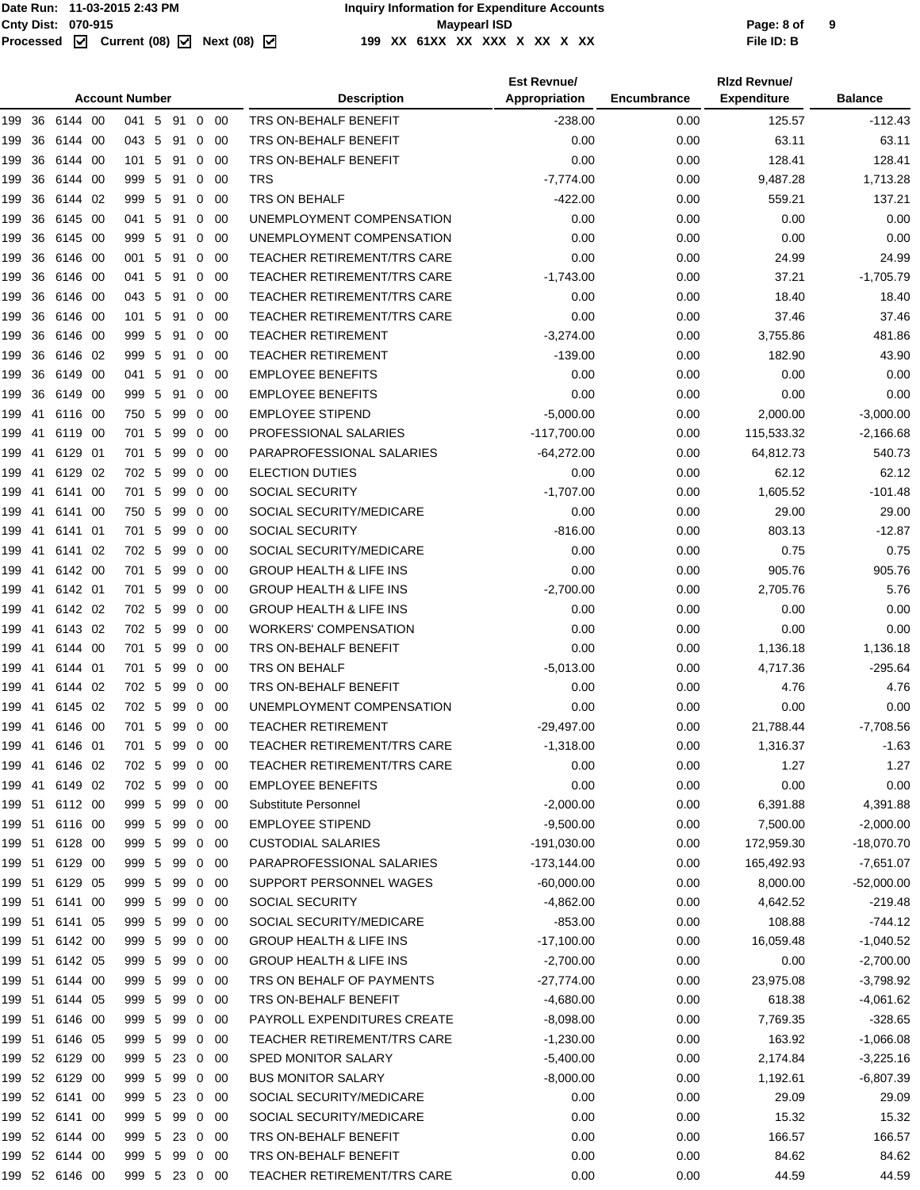#### **Date Run: 11-03-2015 2:43 PM Inquiry Information for Expenditure Accounts** Cnty Dist: 070-915<br> **Processed Maxmush Contries Controller Maymeat ISD**<br>
Processed **M** Current (08) M Next (08) M 199 XX 61XX XX XX X XX X XX X **199 XX 61XX XX XXX X XX X XX File ID: B**

|                   |                    |      | <b>Account Number</b> |   |          |                  |             | <b>Description</b>                 | <b>Est Revnue/</b><br>Appropriation | <b>Encumbrance</b> | <b>Rizd Revnue/</b><br><b>Expenditure</b> | <b>Balance</b> |
|-------------------|--------------------|------|-----------------------|---|----------|------------------|-------------|------------------------------------|-------------------------------------|--------------------|-------------------------------------------|----------------|
| 19936             | 6144 00            |      | 041 5 91 0 00         |   |          |                  |             | TRS ON-BEHALF BENEFIT              | $-238.00$                           | 0.00               | 125.57                                    | $-112.43$      |
|                   |                    |      |                       |   |          |                  |             | TRS ON-BEHALF BENEFIT              | 0.00                                | 0.00               | 63.11                                     | 63.11          |
| 36<br>199<br>36   | 6144 00            |      | 043 5<br>101 5        |   | 91       | $\mathbf 0$      | -00         | TRS ON-BEHALF BENEFIT              | 0.00                                | 0.00               | 128.41                                    | 128.41         |
| 199.<br>36<br>199 | 6144 00<br>6144 00 |      | 999 5                 |   | 91<br>91 | $\mathbf 0$<br>0 | - 00<br>-00 | <b>TRS</b>                         | $-7,774.00$                         | 0.00               | 9,487.28                                  | 1,713.28       |
| 36<br>199         | 6144 02            |      | 999 5                 |   | 91       | $\mathbf 0$      | - 00        | TRS ON BEHALF                      | $-422.00$                           | 0.00               | 559.21                                    | 137.21         |
| 36<br>199         | 6145 00            |      | 041 5                 |   | 91       | $\overline{0}$   | - 00        | UNEMPLOYMENT COMPENSATION          | 0.00                                | 0.00               | 0.00                                      | 0.00           |
| 36<br>199         | 6145 00            |      | 999 5                 |   | 91       | 0                | -00         | UNEMPLOYMENT COMPENSATION          | 0.00                                | 0.00               | 0.00                                      | 0.00           |
| 36<br>199.        | 6146 00            |      | 001 5                 |   | 91       | 0                | -00         | <b>TEACHER RETIREMENT/TRS CARE</b> | 0.00                                | 0.00               | 24.99                                     | 24.99          |
| 36<br>199.        | 6146 00            |      | 041                   | 5 | 91       | 0                | - 00        | <b>TEACHER RETIREMENT/TRS CARE</b> | $-1,743.00$                         | 0.00               | 37.21                                     | $-1,705.79$    |
| 36<br>199         | 6146 00            |      | 043 5                 |   | 91       | 0                | -00         | <b>TEACHER RETIREMENT/TRS CARE</b> | 0.00                                | 0.00               | 18.40                                     | 18.40          |
| 36<br>199         | 6146 00            |      | 101 5                 |   | 91       | 0                | -00         | <b>TEACHER RETIREMENT/TRS CARE</b> | 0.00                                | 0.00               | 37.46                                     | 37.46          |
| 36<br>199         | 6146 00            |      | 999 5                 |   | 91       | 0                | - 00        | <b>TEACHER RETIREMENT</b>          | $-3,274.00$                         | 0.00               | 3,755.86                                  | 481.86         |
| 36<br>199         | 6146 02            |      | 999 5                 |   | 91       | 0                | -00         | <b>TEACHER RETIREMENT</b>          | $-139.00$                           | 0.00               | 182.90                                    | 43.90          |
| 199<br>36         | 6149               | - 00 | 041                   | 5 | 91       | 0                | -00         | <b>EMPLOYEE BENEFITS</b>           | 0.00                                | 0.00               | 0.00                                      | 0.00           |
| 36<br>199         | 6149 00            |      | 999 5                 |   | 91       | $\mathbf 0$      | -00         | <b>EMPLOYEE BENEFITS</b>           | 0.00                                | 0.00               | 0.00                                      | 0.00           |
| 199<br>41         | 6116 00            |      | 750 5                 |   | 99       | $\mathbf 0$      | -00         | <b>EMPLOYEE STIPEND</b>            | $-5,000.00$                         | 0.00               | 2,000.00                                  | $-3,000.00$    |
| 199<br>-41        | 6119 00            |      | 701 5                 |   | 99       | $\mathbf 0$      | -00         | PROFESSIONAL SALARIES              | $-117,700.00$                       | 0.00               | 115,533.32                                | $-2,166.68$    |
| 199<br>41         | 6129 01            |      | 701 5                 |   | 99       | $\mathbf 0$      | - 00        | PARAPROFESSIONAL SALARIES          | $-64,272.00$                        | 0.00               | 64,812.73                                 | 540.73         |
| 199<br>41         | 6129 02            |      | 702 5                 |   | 99       | $\mathbf 0$      | -00         | <b>ELECTION DUTIES</b>             | 0.00                                | 0.00               | 62.12                                     | 62.12          |
| 199  <br>-41      | 6141 00            |      | 701 5                 |   | 99       | $\mathbf 0$      | -00         | <b>SOCIAL SECURITY</b>             | $-1,707.00$                         | 0.00               | 1,605.52                                  | $-101.48$      |
| 199.<br>41        | 6141 00            |      | 750 5                 |   | 99       | $\overline{0}$   | - 00        | SOCIAL SECURITY/MEDICARE           | 0.00                                | 0.00               | 29.00                                     | 29.00          |
| 199<br>41         | 6141 01            |      | 701 5                 |   | 99       | $\mathbf 0$      | -00         | <b>SOCIAL SECURITY</b>             | $-816.00$                           | 0.00               | 803.13                                    | $-12.87$       |
| 199<br>-41        | 6141 02            |      | 702 5                 |   | 99       | $\mathbf 0$      | -00         | SOCIAL SECURITY/MEDICARE           | 0.00                                | 0.00               | 0.75                                      | 0.75           |
| 199<br>41         | 6142 00            |      | 701 5                 |   | 99       | $\mathbf{0}$     | -00         | <b>GROUP HEALTH &amp; LIFE INS</b> | 0.00                                | 0.00               | 905.76                                    | 905.76         |
| 199<br>41         | 6142 01            |      | 701 5                 |   | 99       | $\mathbf 0$      | -00         | <b>GROUP HEALTH &amp; LIFE INS</b> | $-2,700.00$                         | 0.00               | 2,705.76                                  | 5.76           |
| 199.<br>-41       | 6142 02            |      | 702 5                 |   | 99       | 0                | -00         | <b>GROUP HEALTH &amp; LIFE INS</b> | 0.00                                | 0.00               | 0.00                                      | 0.00           |
| 199<br>41         | 6143 02            |      | 702 5                 |   | 99       | $\mathbf 0$      | - 00        | <b>WORKERS' COMPENSATION</b>       | 0.00                                | 0.00               | 0.00                                      | 0.00           |
| 199<br>41         | 6144 00            |      | 701 5                 |   | 99       | $\mathbf 0$      | -00         | TRS ON-BEHALF BENEFIT              | 0.00                                | 0.00               | 1,136.18                                  | 1,136.18       |
| 199<br>-41        | 6144 01            |      | 701 5                 |   | 99       | $\mathbf 0$      | -00         | TRS ON BEHALF                      | $-5,013.00$                         | 0.00               | 4,717.36                                  | $-295.64$      |
| 199<br>-41        | 6144 02            |      | 702 5                 |   | 99       | $\mathbf 0$      | - 00        | TRS ON-BEHALF BENEFIT              | 0.00                                | 0.00               | 4.76                                      | 4.76           |
| 199<br>41         | 6145 02            |      | 702 5                 |   | 99       | $\mathbf{0}$     | -00         | UNEMPLOYMENT COMPENSATION          | 0.00                                | 0.00               | 0.00                                      | 0.00           |
|                   | 199 41 6146 00     |      | 701 5                 |   | 99 0 00  |                  |             | <b>TEACHER RETIREMENT</b>          | $-29,497.00$                        | 0.00               | 21,788.44                                 | $-7,708.56$    |
| 199 41 6146 01    |                    |      | 701 5 99 0 00         |   |          |                  |             | TEACHER RETIREMENT/TRS CARE        | $-1,318.00$                         | 0.00               | 1,316.37                                  | $-1.63$        |
|                   | 199 41 6146 02     |      | 702 5                 |   | 99       |                  | $0\quad 00$ | TEACHER RETIREMENT/TRS CARE        | 0.00                                | 0.00               | 1.27                                      | 1.27           |
|                   | 199 41 6149 02     |      | 702 5 99 0 00         |   |          |                  |             | <b>EMPLOYEE BENEFITS</b>           | 0.00                                | 0.00               | 0.00                                      | 0.00           |
|                   | 199 51 6112 00     |      | 999 5 99 0 00         |   |          |                  |             | Substitute Personnel               | $-2,000.00$                         | 0.00               | 6,391.88                                  | 4,391.88       |
|                   | 199 51 6116 00     |      | 999 5                 |   | 99       |                  | 0 00        | <b>EMPLOYEE STIPEND</b>            | $-9,500.00$                         | 0.00               | 7,500.00                                  | $-2,000.00$    |
| 199 51 6128 00    |                    |      | 999 5                 |   | 99       |                  | $0\quad 00$ | <b>CUSTODIAL SALARIES</b>          | $-191,030.00$                       | 0.00               | 172,959.30                                | $-18,070.70$   |
| 199 51 6129 00    |                    |      | 999 5                 |   | 99       |                  | $0\quad 00$ | PARAPROFESSIONAL SALARIES          | $-173, 144.00$                      | 0.00               | 165,492.93                                | $-7,651.07$    |
| 199 51            | 6129 05            |      | 999 5                 |   | 99       |                  | $0\quad 00$ | SUPPORT PERSONNEL WAGES            | $-60,000.00$                        | 0.00               | 8,000.00                                  | $-52,000.00$   |
| 199 51 6141 00    |                    |      | 999 5                 |   | 99       | $\overline{0}$   | - 00        | SOCIAL SECURITY                    | $-4,862.00$                         | 0.00               | 4,642.52                                  | $-219.48$      |
|                   | 199 51 6141 05     |      | 999 5                 |   | 99       |                  | $0\quad 00$ | SOCIAL SECURITY/MEDICARE           | $-853.00$                           | 0.00               | 108.88                                    | $-744.12$      |
|                   | 199 51 6142 00     |      | 999 5                 |   | 99       | $\mathbf 0$      | - 00        | <b>GROUP HEALTH &amp; LIFE INS</b> | $-17,100.00$                        | 0.00               | 16,059.48                                 | $-1,040.52$    |
|                   | 199 51 6142 05     |      | 999 5                 |   | 99       | $\mathbf 0$      | - 00        | <b>GROUP HEALTH &amp; LIFE INS</b> | $-2,700.00$                         | 0.00               | 0.00                                      | $-2,700.00$    |
|                   | 199 51 6144 00     |      | 999 5                 |   | 99       |                  | $0\quad 00$ | TRS ON BEHALF OF PAYMENTS          | -27,774.00                          | 0.00               | 23,975.08                                 | $-3,798.92$    |
|                   | 199 51 6144 05     |      | 999 5                 |   | 99       |                  | $0\quad 00$ | TRS ON-BEHALF BENEFIT              | $-4,680.00$                         | 0.00               | 618.38                                    | $-4,061.62$    |
|                   | 199 51 6146 00     |      | 999 5                 |   | 99       |                  | $0\quad 00$ | PAYROLL EXPENDITURES CREATE        | $-8,098.00$                         | 0.00               | 7,769.35                                  | $-328.65$      |
|                   | 199 51 6146 05     |      | 999 5                 |   |          |                  | 99 0 00     | TEACHER RETIREMENT/TRS CARE        | $-1,230.00$                         | 0.00               | 163.92                                    | $-1,066.08$    |
|                   | 199 52 6129 00     |      | 999 5 23 0 00         |   |          |                  |             | SPED MONITOR SALARY                | $-5,400.00$                         | 0.00               | 2,174.84                                  | $-3,225.16$    |
| 199 52 6129 00    |                    |      | 999 5                 |   | 99       |                  | 0 00        | <b>BUS MONITOR SALARY</b>          | $-8,000.00$                         | 0.00               | 1,192.61                                  | $-6,807.39$    |
| 199 52 6141 00    |                    |      | 999 5                 |   |          |                  | 23 0 00     | SOCIAL SECURITY/MEDICARE           | 0.00                                | 0.00               | 29.09                                     | 29.09          |
|                   | 199 52 6141 00     |      | 999 5                 |   | 99       |                  | $0\quad 00$ | SOCIAL SECURITY/MEDICARE           | 0.00                                | 0.00               | 15.32                                     | 15.32          |
| 199 52 6144 00    |                    |      | 999 5                 |   |          |                  | 23 0 00     | TRS ON-BEHALF BENEFIT              | 0.00                                | 0.00               | 166.57                                    | 166.57         |
|                   | 199 52 6144 00     |      | 999 5 99 0 00         |   |          |                  |             | TRS ON-BEHALF BENEFIT              | 0.00                                | 0.00               | 84.62                                     | 84.62          |
|                   | 199 52 6146 00     |      | 999 5 23 0 00         |   |          |                  |             | TEACHER RETIREMENT/TRS CARE        | 0.00                                | 0.00               | 44.59                                     | 44.59          |